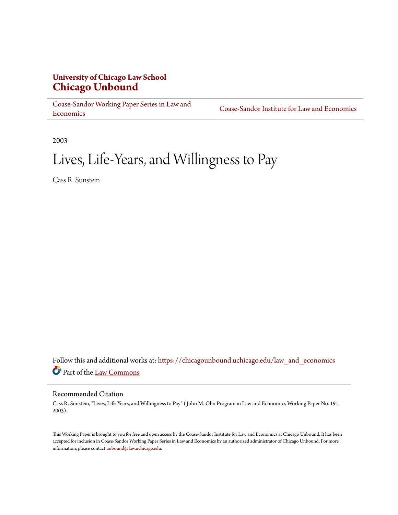# **University of Chicago Law School [Chicago Unbound](https://chicagounbound.uchicago.edu?utm_source=chicagounbound.uchicago.edu%2Flaw_and_economics%2F311&utm_medium=PDF&utm_campaign=PDFCoverPages)**

[Coase-Sandor Working Paper Series in Law and](https://chicagounbound.uchicago.edu/law_and_economics?utm_source=chicagounbound.uchicago.edu%2Flaw_and_economics%2F311&utm_medium=PDF&utm_campaign=PDFCoverPages) [Economics](https://chicagounbound.uchicago.edu/law_and_economics?utm_source=chicagounbound.uchicago.edu%2Flaw_and_economics%2F311&utm_medium=PDF&utm_campaign=PDFCoverPages)

[Coase-Sandor Institute for Law and Economics](https://chicagounbound.uchicago.edu/coase_sandor_institute?utm_source=chicagounbound.uchicago.edu%2Flaw_and_economics%2F311&utm_medium=PDF&utm_campaign=PDFCoverPages)

2003

# Lives, Life-Years, and Willingness to Pay

Cass R. Sunstein

Follow this and additional works at: [https://chicagounbound.uchicago.edu/law\\_and\\_economics](https://chicagounbound.uchicago.edu/law_and_economics?utm_source=chicagounbound.uchicago.edu%2Flaw_and_economics%2F311&utm_medium=PDF&utm_campaign=PDFCoverPages) Part of the [Law Commons](http://network.bepress.com/hgg/discipline/578?utm_source=chicagounbound.uchicago.edu%2Flaw_and_economics%2F311&utm_medium=PDF&utm_campaign=PDFCoverPages)

#### Recommended Citation

Cass R. Sunstein, "Lives, Life-Years, and Willingness to Pay" ( John M. Olin Program in Law and Economics Working Paper No. 191, 2003).

This Working Paper is brought to you for free and open access by the Coase-Sandor Institute for Law and Economics at Chicago Unbound. It has been accepted for inclusion in Coase-Sandor Working Paper Series in Law and Economics by an authorized administrator of Chicago Unbound. For more information, please contact [unbound@law.uchicago.edu.](mailto:unbound@law.uchicago.edu)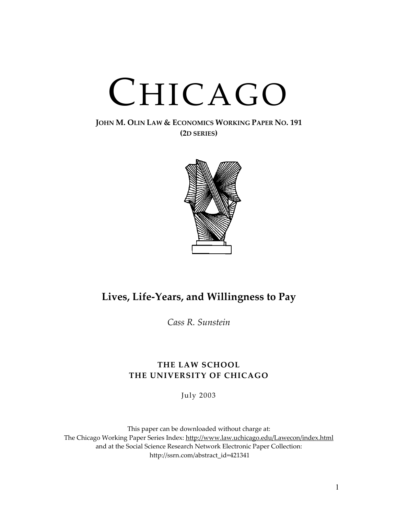# CHICAGO

## **JOHN M. OLIN LAW & ECONOMICS WORKING PAPER NO. 191 (2D SERIES)**



# **Lives, Life-Years, and Willingness to Pay**

*Cass R. Sunstein*

# **THE LAW SCHOOL THE UNIVERSITY OF CHICAGO**

July 2003

This paper can be downloaded without charge at: The Chicago Working Paper Series Index: [http://www.law.uchicago.edu/Lawecon/index.html](http://www.law.uchicago.edu/Publications/Working/index.html) and at the Social Science Research Network Electronic Paper Collection: [http://ssrn.com/abstract\\_id=421341](http://papers.ssrn.com/sol3/search.taf)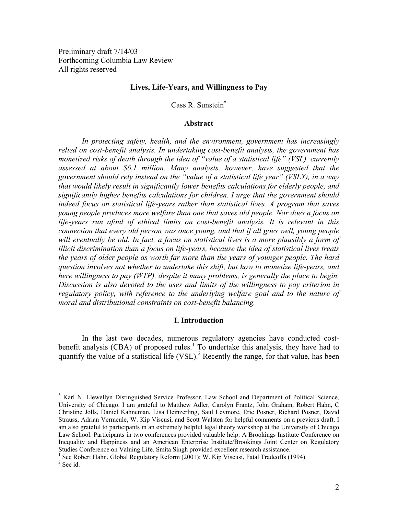Preliminary draft 7/14/03 Forthcoming Columbia Law Review All rights reserved

#### **Lives, Life-Years, and Willingness to Pay**

Cass R. Sunstein**[\\*](#page-2-0)**

#### **Abstract**

*In protecting safety, health, and the environment, government has increasingly relied on cost-benefit analysis. In undertaking cost-benefit analysis, the government has monetized risks of death through the idea of "value of a statistical life" (VSL), currently assessed at about \$6.1 million. Many analysts, however, have suggested that the government should rely instead on the "value of a statistical life year" (VSLY), in a way that would likely result in significantly lower benefits calculations for elderly people, and significantly higher benefits calculations for children. I urge that the government should indeed focus on statistical life-years rather than statistical lives. A program that saves young people produces more welfare than one that saves old people. Nor does a focus on life-years run afoul of ethical limits on cost-benefit analysis. It is relevant in this connection that every old person was once young, and that if all goes well, young people*  will eventually be old. In fact, a focus on statistical lives is a more plausibly a form of *illicit discrimination than a focus on life-years, because the idea of statistical lives treats the years of older people as worth far more than the years of younger people. The hard question involves not whether to undertake this shift, but how to monetize life-years, and here willingness to pay (WTP), despite it many problems, is generally the place to begin. Discussion is also devoted to the uses and limits of the willingness to pay criterion in*  regulatory policy, with reference to the underlying welfare goal and to the nature of *moral and distributional constraints on cost-benefit balancing.* 

#### **I. Introduction**

In the last two decades, numerous regulatory agencies have conducted cost-benefit analysis (CBA) of proposed rules.<sup>[1](#page-2-1)</sup> To undertake this analysis, they have had to quantify the value of a statistical life  $(VSL)$ .<sup>[2](#page-2-2)</sup> Recently the range, for that value, has been

1

<span id="page-2-0"></span><sup>\*</sup> Karl N. Llewellyn Distinguished Service Professor, Law School and Department of Political Science, University of Chicago. I am grateful to Matthew Adler, Carolyn Frantz, John Graham, Robert Hahn, C Christine Jolls, Daniel Kahneman, Lisa Heinzerling, Saul Levmore, Eric Posner, Richard Posner, David Strauss, Adrian Vermeule, W. Kip Viscusi, and Scott Walsten for helpful comments on a previous draft. I am also grateful to participants in an extremely helpful legal theory workshop at the University of Chicago Law School. Participants in two conferences provided valuable help: A Brookings Institute Conference on Inequality and Happiness and an American Enterprise Institute/Brookings Joint Center on Regulatory Studies Conference on Valuing Life. Smita Singh provided excellent research assistance. 1

<span id="page-2-1"></span><sup>&</sup>lt;sup>1</sup> See Robert Hahn, Global Regulatory Reform (2001); W. Kip Viscusi, Fatal Tradeoffs (1994).

<span id="page-2-2"></span> $2$  See id.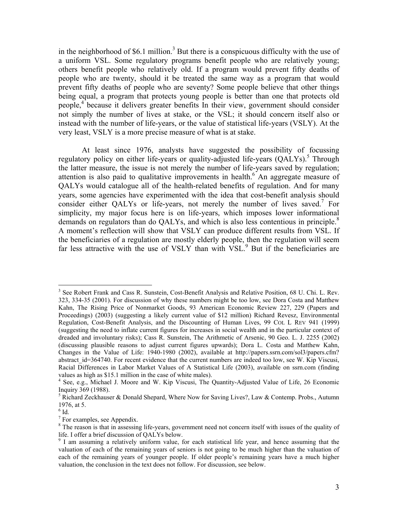in the neighborhood of \$6.1 million.<sup>[3](#page-3-0)</sup> But there is a conspicuous difficulty with the use of a uniform VSL. Some regulatory programs benefit people who are relatively young; others benefit people who relatively old. If a program would prevent fifty deaths of people who are twenty, should it be treated the same way as a program that would prevent fifty deaths of people who are seventy? Some people believe that other things being equal, a program that protects young people is better than one that protects old people,<sup>4</sup> because it delivers greater benefits In their view, government should consider not simply the number of lives at stake, or the VSL; it should concern itself also or instead with the number of life-years, or the value of statistical life-years (VSLY). At the very least, VSLY is a more precise measure of what is at stake.

At least since 1976, analysts have suggested the possibility of focussing regulatory policy on either life-years or quality-adjusted life-years  $(QALYs)$ .<sup>[5](#page-3-2)</sup> Through the latter measure, the issue is not merely the number of life-years saved by regulation; attention is also paid to qualitative improvements in health.<sup>6</sup> An aggregate measure of QALYs would catalogue all of the health-related benefits of regulation. And for many years, some agencies have experimented with the idea that cost-benefit analysis should consider either QALYs or life-years, not merely the number of lives saved.<sup>7</sup> For simplicity, my major focus here is on life-years, which imposes lower informational demands on regulators than do QALYs, and which is also less contentious in principle.<sup>[8](#page-3-5)</sup> A moment's reflection will show that VSLY can produce different results from VSL. If the beneficiaries of a regulation are mostly elderly people, then the regulation will seem far less attractive with the use of VSLY than with VSL.<sup>9</sup> But if the beneficiaries are

<span id="page-3-0"></span><sup>&</sup>lt;sup>3</sup> See Robert Frank and Cass R. Sunstein, Cost-Benefit Analysis and Relative Position, 68 U. Chi. L. Rev. 323, 334-35 (2001). For discussion of why these numbers might be too low, see Dora Costa and Matthew Kahn, The Rising Price of Nonmarket Goods, 93 American Economic Review 227, 229 (Papers and Proceedings) (2003) (suggesting a likely current value of \$12 million) Richard Revesz, Environmental Regulation, Cost-Benefit Analysis, and the Discounting of Human Lives, 99 COL L REV 941 (1999) (suggesting the need to inflate current figures for increases in social wealth and in the particular context of dreaded and involuntary risks); Cass R. Sunstein, The Arithmetic of Arsenic, 90 Geo. L. J. 2255 (2002) (discussing plausible reasons to adjust current figures upwards); Dora L. Costa and Matthew Kahn, Changes in the Value of Life: 1940-1980 (2002), available at http://papers.ssrn.com/sol3/papers.cfm? abstract id=364740. For recent evidence that the current numbers are indeed too low, see W. Kip Viscusi, Racial Differences in Labor Market Values of A Statistical Life (2003), available on ssrn.com (finding values as high as \$15.1 million in the case of white males). 4

<span id="page-3-1"></span><sup>&</sup>lt;sup>4</sup> See, e.g., Michael J. Moore and W. Kip Viscusi, The Quantity-Adjusted Value of Life, 26 Economic Inquiry 369 (1988). 5

<span id="page-3-2"></span><sup>&</sup>lt;sup>5</sup> Richard Zeckhauser & Donald Shepard, Where Now for Saving Lives?, Law & Contemp. Probs., Autumn 1976, at 5.

<span id="page-3-3"></span> $6$  Id.

<span id="page-3-4"></span> $7\,\mathrm{F}$  For examples, see Appendix.

<span id="page-3-5"></span> $8$  The reason is that in assessing life-years, government need not concern itself with issues of the quality of life. I offer a brief discussion of OALYs below.

<span id="page-3-6"></span><sup>&</sup>lt;sup>9</sup> I am assuming a relatively uniform value, for each statistical life year, and hence assuming that the valuation of each of the remaining years of seniors is not going to be much higher than the valuation of each of the remaining years of younger people. If older people's remaining years have a much higher valuation, the conclusion in the text does not follow. For discussion, see below.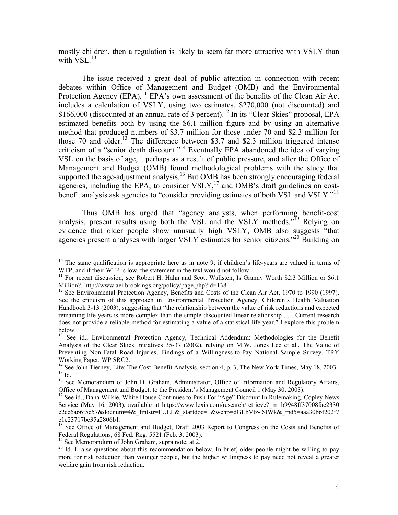mostly children, then a regulation is likely to seem far more attractive with VSLY than with  $VSL$ <sup>10</sup>

The issue received a great deal of public attention in connection with recent debates within Office of Management and Budget (OMB) and the Environmental Protection Agency (EPA).<sup>11</sup> EPA's own assessment of the benefits of the Clean Air Act includes a calculation of VSLY, using two estimates, \$270,000 (not discounted) and \$166,000 (discounted at an annual rate of 3 percent).<sup>12</sup> In its "Clear Skies" proposal, EPA estimated benefits both by using the \$6.1 million figure and by using an alternative method that produced numbers of \$3.7 million for those under 70 and \$2.3 million for those 70 and older.<sup>13</sup> The difference between \$3.7 and \$2.3 million triggered intense criticism of a "senior death discount."<sup>14</sup> Eventually EPA abandoned the idea of varying VSL on the basis of age,<sup>15</sup> perhaps as a result of public pressure, and after the Office of Management and Budget (OMB) found methodological problems with the study that supported the age-adjustment analysis.<sup>16</sup> But OMB has been strongly encouraging federal agencies, including the EPA, to consider  $VSLY$ ,<sup>17</sup> and OMB's draft guidelines on costbenefit analysis ask agencies to "consider providing estimates of both VSL and VSLY."<sup>18</sup>

Thus OMB has urged that "agency analysts, when performing benefit-cost analysis, present results using both the VSL and the VSLY methods."<sup>19</sup> Relying on evidence that older people show unusually high VSLY, OMB also suggests "that agencies present analyses with larger VSLY estimates for senior citizens.<sup>220</sup> Building on

<span id="page-4-0"></span> $10$  The same qualification is appropriate here as in note 9; if children's life-years are valued in terms of

<span id="page-4-1"></span>WTP, and if their WTP is low, the statement in the text would not follow.<br><sup>11</sup> For recent discussion, see Robert H. Hahn and Scott Wallsten, Is Granny Worth \$2.3 Million or \$6.1<br>Million?, http://www.aei.brookings.org/polic

<span id="page-4-2"></span><sup>&</sup>lt;sup>12</sup> See Environmental Protection Agency, Benefits and Costs of the Clean Air Act, 1970 to 1990 (1997). See the criticism of this approach in Environmental Protection Agency, Children's Health Valuation Handbook 3-13 (2003), suggesting that "the relationship between the value of risk reductions and expected remaining life years is more complex than the simple discounted linear relationship . . . Current research does not provide a reliable method for estimating a value of a statistical life-year." I explore this problem below.<br><sup>13</sup> See id.; Environmental Protection Agency, Technical Addendum: Methodologies for the Benefit

<span id="page-4-3"></span>Analysis of the Clear Skies Initiatives 35-37 (2002), relying on M.W. Jones Lee et al., The Value of Preventing Non-Fatal Road Injuries; Findings of a Willingness-to-Pay National Sample Survey, TRY

<span id="page-4-4"></span>Working Paper, WP SRC2.<br><sup>14</sup> See John Tierney, Life: The Cost-Benefit Analysis, section 4, p. 3, The New York Times, May 18, 2003.<br><sup>15</sup> Id.

<span id="page-4-6"></span><span id="page-4-5"></span><sup>&</sup>lt;sup>16</sup> See Memorandum of John D. Graham, Administrator, Office of Information and Regulatory Affairs, Office of Management and Budget, to the President's Management Council 1 (May 30, 2003).

<span id="page-4-7"></span><sup>&</sup>lt;sup>17</sup> See id.; Dana Wilkie, White House Continues to Push For "Age" Discount In Rulemaking, Copley News Service (May 16, 2003), available at https://www.lexis.com/research/retrieve? m=b9948ff37008fac2330 e2ce6a66f5e57&docnum=4& fmtstr=FULL& startdoc=1&wchp=dGLbVtz-lSlWk& md5=aaa30b6f202f7 e1e23717bc35a2806b1.

<span id="page-4-8"></span><sup>&</sup>lt;sup>18</sup> See Office of Management and Budget, Draft 2003 Report to Congress on the Costs and Benefits of Federal Regulations, 68 Fed. Reg. 5521 (Feb. 3, 2003).

<span id="page-4-10"></span><span id="page-4-9"></span>

<sup>&</sup>lt;sup>19</sup> See Memorandum of John Graham, supra note, at 2.  $\frac{20}{10}$  Id. I raise questions about this recommendation below. In brief, older people might be willing to pay more for risk reduction than younger people, but the higher willingness to pay need not reveal a greater welfare gain from risk reduction.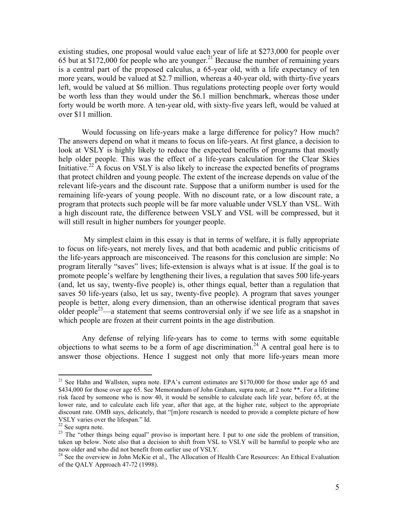existing studies, one proposal would value each year of life at \$273,000 for people over 65 but at \$172,000 for people who are younger.<sup>21</sup> Because the number of remaining years is a central part of the proposed calculus, a 65-year old, with a life expectancy of ten more years, would be valued at \$2.7 million, whereas a 40-year old, with thirty-five years left, would be valued at \$6 million. Thus regulations protecting people over forty would be worth less than they would under the \$6.1 million benchmark, whereas those under forty would be worth more. A ten-year old, with sixty-five years left, would be valued at over \$11 million.

Would focussing on life-years make a large difference for policy? How much? The answers depend on what it means to focus on life-years. At first glance, a decision to look at VSLY is highly likely to reduce the expected benefits of programs that mostly help older people. This was the effect of a life-years calculation for the Clear Skies Initiative.<sup>22</sup> A focus on VSLY is also likely to increase the expected benefits of programs that protect children and young people. The extent of the increase depends on value of the relevant life-years and the discount rate. Suppose that a uniform number is used for the remaining life-years of young people. With no discount rate, or a low discount rate, a program that protects such people will be far more valuable under VSLY than VSL. With a high discount rate, the difference between VSLY and VSL will be compressed, but it will still result in higher numbers for younger people.

My simplest claim in this essay is that in terms of welfare, it is fully appropriate to focus on life-years, not merely lives, and that both academic and public criticisms of the life-years approach are misconceived. The reasons for this conclusion are simple: No program literally "saves" lives; life-extension is always what is at issue. If the goal is to promote people's welfare by lengthening their lives, a regulation that saves 500 life-years (and, let us say, twenty-five people) is, other things equal, better than a regulation that saves 50 life-years (also, let us say, twenty-five people). A program that saves younger people is better, along every dimension, than an otherwise identical program that saves older people<sup>23</sup>—a statement that seems controversial only if we see life as a snapshot in which people are frozen at their current points in the age distribution.

Any defense of relying life-years has to come to terms with some equitable objections to what seems to be a form of age discrimination.<sup>24</sup> A central goal here is to answer those objections. Hence I suggest not only that more life-years mean more

<span id="page-5-0"></span> $21$  See Hahn and Wallsten, supra note. EPA's current estimates are \$170,000 for those under age 65 and \$434,000 for those over age 65. See Memorandum of John Graham, supra note, at 2 note \*\*. For a lifetime risk faced by someone who is now 40, it would be sensible to calculate each life year, before 65, at the lower rate, and to calculate each life year, after that age, at the higher rate, subject to the appropriate discount rate. OMB says, delicately, that "[m]ore research is needed to provide a complete picture of how VSLY varies over the lifespan." Id. 22 See supra note.

<span id="page-5-1"></span>

<span id="page-5-2"></span><sup>&</sup>lt;sup>23</sup> The "other things being equal" proviso is important here. I put to one side the problem of transition, taken up below. Note also that a decision to shift from VSL to VSLY will be harmful to people who are now older and who did not benefit from earlier use of VSLY.<br><sup>24</sup> See the overview in John McKie et al., The Allocation of Health Care Resources: An Ethical Evaluation

<span id="page-5-3"></span>of the QALY Approach 47-72 (1998).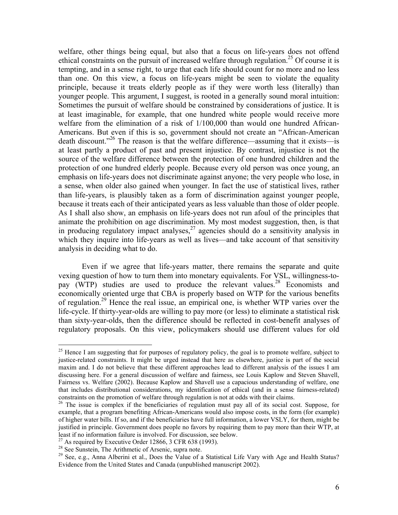welfare, other things being equal, but also that a focus on life-years does not offend ethical constraints on the pursuit of increased welfare through regulation.<sup>25</sup> Of course it is tempting, and in a sense right, to urge that each life should count for no more and no less than one. On this view, a focus on life-years might be seen to violate the equality principle, because it treats elderly people as if they were worth less (literally) than younger people. This argument, I suggest, is rooted in a generally sound moral intuition: Sometimes the pursuit of welfare should be constrained by considerations of justice. It is at least imaginable, for example, that one hundred white people would receive more welfare from the elimination of a risk of 1/100,000 than would one hundred African-Americans. But even if this is so, government should not create an "African-American death discount.<sup>"26</sup> The reason is that the welfare difference—assuming that it exists—is at least partly a product of past and present injustice. By contrast, injustice is not the source of the welfare difference between the protection of one hundred children and the protection of one hundred elderly people. Because every old person was once young, an emphasis on life-years does not discriminate against anyone; the very people who lose, in a sense, when older also gained when younger. In fact the use of statistical lives, rather than life-years, is plausibly taken as a form of discrimination against younger people, because it treats each of their anticipated years as less valuable than those of older people. As I shall also show, an emphasis on life-years does not run afoul of the principles that animate the prohibition on age discrimination. My most modest suggestion, then, is that in producing regulatory impact analyses,  $27$  agencies should do a sensitivity analysis in which they inquire into life-years as well as lives—and take account of that sensitivity analysis in deciding what to do.

Even if we agree that life-years matter, there remains the separate and quite vexing question of how to turn them into monetary equivalents. For VSL, willingness-topay (WTP) studies are used to produce the relevant values.<sup>28</sup> Economists and economically oriented urge that CBA is properly based on WTP for the various benefits of regulation.<sup>29</sup> Hence the real issue, an empirical one, is whether WTP varies over the life-cycle. If thirty-year-olds are willing to pay more (or less) to eliminate a statistical risk than sixty-year-olds, then the difference should be reflected in cost-benefit analyses of regulatory proposals. On this view, policymakers should use different values for old

<span id="page-6-0"></span><sup>&</sup>lt;sup>25</sup> Hence I am suggesting that for purposes of regulatory policy, the goal is to promote welfare, subject to justice-related constraints. It might be urged instead that here as elsewhere, justice is part of the social maxim and. I do not believe that these different approaches lead to different analysis of the issues I am discussing here. For a general discussion of welfare and fairness, see Louis Kaplow and Steven Shavell, Fairness vs. Welfare (2002). Because Kaplow and Shavell use a capacious understanding of welfare, one that includes distributional considerations, my identification of ethical (and in a sense fairness-related)

<span id="page-6-1"></span><sup>&</sup>lt;sup>26</sup> The issue is complex if the beneficiaries of regulation must pay all of its social cost. Suppose, for example, that a program benefiting African-Americans would also impose costs, in the form (for example) of higher water bills. If so, and if the beneficiaries have full information, a lower VSLY, for them, might be justified in principle. Government does people no favors by requiring them to pay more than their WTP, at least if no information failure is involved. For discussion, see below.<br>
<sup>27</sup> As required by Executive Order 12866, 3 CFR 638 (1993).<br>
<sup>28</sup> See Sunstein, The Arithmetic of Arsenic, supra note.<br>
<sup>29</sup> See, e.g., Anna Alberi

<span id="page-6-2"></span>

<span id="page-6-3"></span>

<span id="page-6-4"></span>Evidence from the United States and Canada (unpublished manuscript 2002).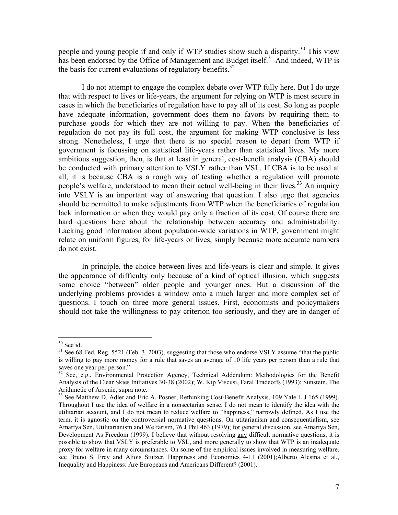people and young people if and only if WTP studies show such a disparity.<sup>30</sup> This view has been endorsed by the Office of Management and Budget itself.<sup>31</sup> And indeed, WTP is the basis for current evaluations of regulatory benefits.<sup>32</sup>

I do not attempt to engage the complex debate over WTP fully here. But I do urge that with respect to lives or life-years, the argument for relying on WTP is most secure in cases in which the beneficiaries of regulation have to pay all of its cost. So long as people have adequate information, government does them no favors by requiring them to purchase goods for which they are not willing to pay. When the beneficiaries of regulation do not pay its full cost, the argument for making WTP conclusive is less strong. Nonetheless, I urge that there is no special reason to depart from WTP if government is focussing on statistical life-years rather than statistical lives. My more ambitious suggestion, then, is that at least in general, cost-benefit analysis (CBA) should be conducted with primary attention to VSLY rather than VSL. If CBA is to be used at all, it is because CBA is a rough way of testing whether a regulation will promote people's welfare, understood to mean their actual well-being in their lives.<sup>33</sup> An inquiry into VSLY is an important way of answering that question. I also urge that agencies should be permitted to make adjustments from WTP when the beneficiaries of regulation lack information or when they would pay only a fraction of its cost. Of course there are hard questions here about the relationship between accuracy and administrability. Lacking good information about population-wide variations in WTP, government might relate on uniform figures, for life-years or lives, simply because more accurate numbers do not exist.

In principle, the choice between lives and life-years is clear and simple. It gives the appearance of difficulty only because of a kind of optical illusion, which suggests some choice "between" older people and younger ones. But a discussion of the underlying problems provides a window onto a much larger and more complex set of questions. I touch on three more general issues. First, economists and policymakers should not take the willingness to pay criterion too seriously, and they are in danger of

<u>.</u>

<span id="page-7-0"></span> $30$  See id.

<span id="page-7-1"></span><sup>&</sup>lt;sup>31</sup> See 68 Fed. Reg. 5521 (Feb. 3, 2003), suggesting that those who endorse VSLY assume "that the public is willing to pay more money for a rule that saves an average of 10 life years per person than a rule that saves one year per person."<br><sup>32</sup> See, e.g., Environmental Protection Agency, Technical Addendum: Methodologies for the Benefit

<span id="page-7-2"></span>Analysis of the Clear Skies Initiatives 30-38 (2002); W. Kip Viscusi, Faral Tradeoffs (1993); Sunstein, The Arithmetic of Arsenic, supra note.<br><sup>33</sup> See Matthew D. Adler and Eric A. Posner, Rethinking Cost-Benefit Analysis, 109 Yale L J 165 (1999).

<span id="page-7-3"></span>Throughout I use the idea of welfare in a nonsectarian sense. I do not mean to identify the idea with the utilitarian account, and I do not mean to reduce welfare to "happiness," narrowly defined. As I use the term, it is agnostic on the controversial normative questions. On utitarianism and consequentialism, see Amartya Sen, Utilitarianism and Welfarism, 76 J Phil 463 (1979); for general discussion, see Amartya Sen, Development As Freedom (1999). I believe that without resolving any difficult normative questions, it is possible to show that VSLY is preferable to VSL, and more generally to show that WTP is an inadequate proxy for welfare in many circumstances. On some of the empirical issues involved in measuring welfare, see Bruno S. Frey and Aliois Stutzer, Happiness and Economics 4-11 (2001);Alberto Alesina et al., Inequality and Happiness: Are Europeans and Americans Different? (2001).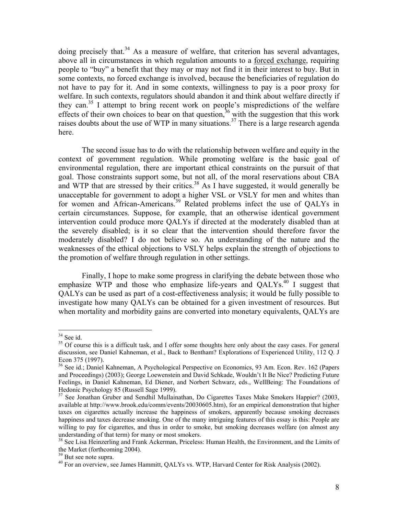doing precisely that.<sup>34</sup> As a measure of welfare, that criterion has several advantages, above all in circumstances in which regulation amounts to a forced exchange, requiring people to "buy" a benefit that they may or may not find it in their interest to buy. But in some contexts, no forced exchange is involved, because the beneficiaries of regulation do not have to pay for it. And in some contexts, willingness to pay is a poor proxy for welfare. In such contexts, regulators should abandon it and think about welfare directly if they can.[35](#page-8-1) I attempt to bring recent work on people's mispredictions of the welfare effects of their own choices to bear on that question,<sup>36</sup> with the suggestion that this work raises doubts about the use of WTP in many situations.<sup>37</sup> There is a large research agenda here.

The second issue has to do with the relationship between welfare and equity in the context of government regulation. While promoting welfare is the basic goal of environmental regulation, there are important ethical constraints on the pursuit of that goal. Those constraints support some, but not all, of the moral reservations about CBA and WTP that are stressed by their critics.<sup>38</sup> As I have suggested, it would generally be unacceptable for government to adopt a higher VSL or VSLY for men and whites than for women and African-Americans.<sup>39</sup> Related problems infect the use of QALYs in certain circumstances. Suppose, for example, that an otherwise identical government intervention could produce more QALYs if directed at the moderately disabled than at the severely disabled; is it so clear that the intervention should therefore favor the moderately disabled? I do not believe so. An understanding of the nature and the weaknesses of the ethical objections to VSLY helps explain the strength of objections to the promotion of welfare through regulation in other settings.

Finally, I hope to make some progress in clarifying the debate between those who emphasize WTP and those who emphasize life-years and QALYs.<sup>40</sup> I suggest that QALYs can be used as part of a cost-effectiveness analysis; it would be fully possible to investigate how many QALYs can be obtained for a given investment of resources. But when mortality and morbidity gains are converted into monetary equivalents, QALYs are

<span id="page-8-0"></span><sup>&</sup>lt;sup>34</sup> See id.

<span id="page-8-1"></span><sup>&</sup>lt;sup>35</sup> Of course this is a difficult task, and I offer some thoughts here only about the easy cases. For general discussion, see Daniel Kahneman, et al., Back to Bentham? Explorations of Experienced Utility, 112 Q. J Econ 375 (1997).

<span id="page-8-2"></span><sup>36</sup> See id.; Daniel Kahneman, A Psychological Perspective on Economics, 93 Am. Econ. Rev. 162 (Papers and Proceedings) (2003); George Loewenstein and David Schkade, Wouldn't It Be Nice? Predicting Future Feelings, in Daniel Kahneman, Ed Diener, and Norbert Schwarz, eds., WellBeing: The Foundations of Hedonic Psychology 85 (Russell Sage 1999).<br><sup>37</sup> See Jonathan Gruber and Sendhil Mullainathan, Do Cigarettes Taxes Make Smokers Happier? (2003,

<span id="page-8-3"></span>available at http://www.brook.edu/comm/events/20030605.htm), for an empirical demonstration that higher taxes on cigarettes actually increase the happiness of smokers, apparently because smoking decreases happiness and taxes decrease smoking. One of the many intriguing features of this essay is this: People are willing to pay for cigarettes, and thus in order to smoke, but smoking decreases welfare (on almost any understanding of that term) for many or most smokers.<br><sup>38</sup> See Lisa Heinzerling and Frank Ackerman, Priceless: Human Health, the Environment, and the Limits of

<span id="page-8-4"></span>the Market (forthcoming 2004).<br><sup>39</sup> But see note supra.

<span id="page-8-5"></span>

<span id="page-8-6"></span> $^{40}$  For an overview, see James Hammitt, QALYs vs. WTP, Harvard Center for Risk Analysis (2002).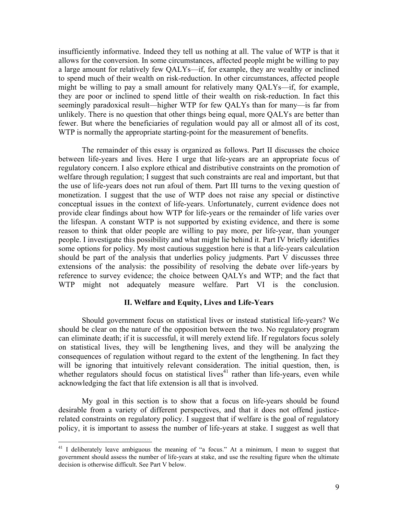insufficiently informative. Indeed they tell us nothing at all. The value of WTP is that it allows for the conversion. In some circumstances, affected people might be willing to pay a large amount for relatively few QALYs—if, for example, they are wealthy or inclined to spend much of their wealth on risk-reduction. In other circumstances, affected people might be willing to pay a small amount for relatively many QALYs—if, for example, they are poor or inclined to spend little of their wealth on risk-reduction. In fact this seemingly paradoxical result—higher WTP for few QALYs than for many—is far from unlikely. There is no question that other things being equal, more QALYs are better than fewer. But where the beneficiaries of regulation would pay all or almost all of its cost, WTP is normally the appropriate starting-point for the measurement of benefits.

The remainder of this essay is organized as follows. Part II discusses the choice between life-years and lives. Here I urge that life-years are an appropriate focus of regulatory concern. I also explore ethical and distributive constraints on the promotion of welfare through regulation; I suggest that such constraints are real and important, but that the use of life-years does not run afoul of them. Part III turns to the vexing question of monetization. I suggest that the use of WTP does not raise any special or distinctive conceptual issues in the context of life-years. Unfortunately, current evidence does not provide clear findings about how WTP for life-years or the remainder of life varies over the lifespan. A constant WTP is not supported by existing evidence, and there is some reason to think that older people are willing to pay more, per life-year, than younger people. I investigate this possibility and what might lie behind it. Part IV briefly identifies some options for policy. My most cautious suggestion here is that a life-years calculation should be part of the analysis that underlies policy judgments. Part V discusses three extensions of the analysis: the possibility of resolving the debate over life-years by reference to survey evidence; the choice between QALYs and WTP; and the fact that WTP might not adequately measure welfare. Part VI is the conclusion.

#### **II. Welfare and Equity, Lives and Life-Years**

Should government focus on statistical lives or instead statistical life-years? We should be clear on the nature of the opposition between the two. No regulatory program can eliminate death; if it is successful, it will merely extend life. If regulators focus solely on statistical lives, they will be lengthening lives, and they will be analyzing the consequences of regulation without regard to the extent of the lengthening. In fact they will be ignoring that intuitively relevant consideration. The initial question, then, is whether regulators should focus on statistical lives<sup>41</sup> rather than life-years, even while acknowledging the fact that life extension is all that is involved.

My goal in this section is to show that a focus on life-years should be found desirable from a variety of different perspectives, and that it does not offend justicerelated constraints on regulatory policy. I suggest that if welfare is the goal of regulatory policy, it is important to assess the number of life-years at stake. I suggest as well that

<span id="page-9-0"></span> $41$  I deliberately leave ambiguous the meaning of "a focus." At a minimum, I mean to suggest that government should assess the number of life-years at stake, and use the resulting figure when the ultimate decision is otherwise difficult. See Part V below.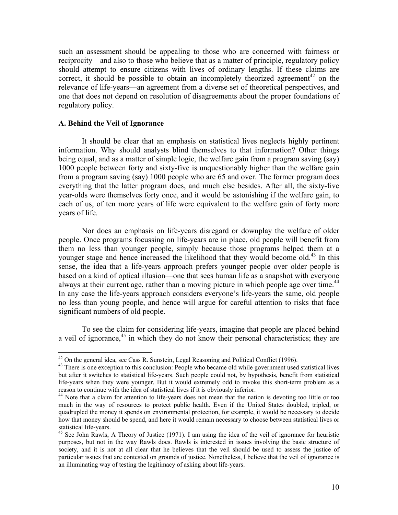such an assessment should be appealing to those who are concerned with fairness or reciprocity—and also to those who believe that as a matter of principle, regulatory policy should attempt to ensure citizens with lives of ordinary lengths. If these claims are correct, it should be possible to obtain an incompletely theorized agreement<sup>42</sup> on the relevance of life-years—an agreement from a diverse set of theoretical perspectives, and one that does not depend on resolution of disagreements about the proper foundations of regulatory policy.

#### **A. Behind the Veil of Ignorance**

It should be clear that an emphasis on statistical lives neglects highly pertinent information. Why should analysts blind themselves to that information? Other things being equal, and as a matter of simple logic, the welfare gain from a program saving (say) 1000 people between forty and sixty-five is unquestionably higher than the welfare gain from a program saving (say) 1000 people who are 65 and over. The former program does everything that the latter program does, and much else besides. After all, the sixty-five year-olds were themselves forty once, and it would be astonishing if the welfare gain, to each of us, of ten more years of life were equivalent to the welfare gain of forty more years of life.

Nor does an emphasis on life-years disregard or downplay the welfare of older people. Once programs focussing on life-years are in place, old people will benefit from them no less than younger people, simply because those programs helped them at a younger stage and hence increased the likelihood that they would become old.<sup>43</sup> In this sense, the idea that a life-years approach prefers younger people over older people is based on a kind of optical illusion—one that sees human life as a snapshot with everyone always at their current age, rather than a moving picture in which people age over time.<sup>44</sup> In any case the life-years approach considers everyone's life-years the same, old people no less than young people, and hence will argue for careful attention to risks that face significant numbers of old people.

To see the claim for considering life-years, imagine that people are placed behind a veil of ignorance, $45$  in which they do not know their personal characteristics; they are

<span id="page-10-0"></span> $42$  On the general idea, see Cass R. Sunstein, Legal Reasoning and Political Conflict (1996).

<span id="page-10-1"></span> $^{43}$  There is one exception to this conclusion: People who became old while government used statistical lives but after it switches to statistical life-years. Such people could not, by hypothesis, benefit from statistical life-years when they were younger. But it would extremely odd to invoke this short-term problem as a reason to continue with the idea of statistical lives if it is obviously inferior.<br><sup>44</sup> Note that a claim for attention to life-years does not mean that the nation is devoting too little or too

<span id="page-10-2"></span>much in the way of resources to protect public health. Even if the United States doubled, tripled, or quadrupled the money it spends on environmental protection, for example, it would be necessary to decide how that money should be spend, and here it would remain necessary to choose between statistical lives or statistical life-years.

<span id="page-10-3"></span><sup>&</sup>lt;sup>45</sup> See John Rawls, A Theory of Justice (1971). I am using the idea of the veil of ignorance for heuristic purposes, but not in the way Rawls does. Rawls is interested in issues involving the basic structure of society, and it is not at all clear that he believes that the veil should be used to assess the justice of particular issues that are contested on grounds of justice. Nonetheless, I believe that the veil of ignorance is an illuminating way of testing the legitimacy of asking about life-years.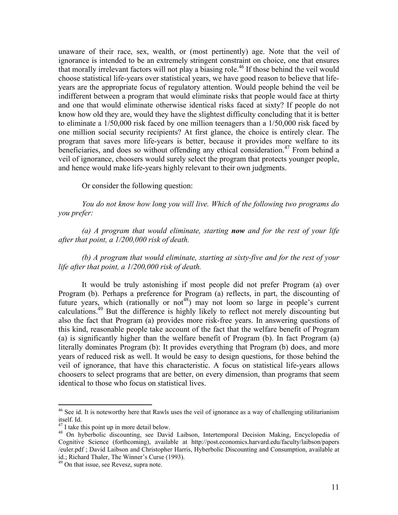unaware of their race, sex, wealth, or (most pertinently) age. Note that the veil of ignorance is intended to be an extremely stringent constraint on choice, one that ensures that morally irrelevant factors will not play a biasing role.<sup>46</sup> If those behind the veil would choose statistical life-years over statistical years, we have good reason to believe that lifeyears are the appropriate focus of regulatory attention. Would people behind the veil be indifferent between a program that would eliminate risks that people would face at thirty and one that would eliminate otherwise identical risks faced at sixty? If people do not know how old they are, would they have the slightest difficulty concluding that it is better to eliminate a 1/50,000 risk faced by one million teenagers than a 1/50,000 risk faced by one million social security recipients? At first glance, the choice is entirely clear. The program that saves more life-years is better, because it provides more welfare to its beneficiaries, and does so without offending any ethical consideration.<sup>47</sup> From behind a veil of ignorance, choosers would surely select the program that protects younger people, and hence would make life-years highly relevant to their own judgments.

Or consider the following question:

*You do not know how long you will live. Which of the following two programs do you prefer:* 

*(a) A program that would eliminate, starting now and for the rest of your life after that point, a 1/200,000 risk of death.* 

*(b) A program that would eliminate, starting at sixty-five and for the rest of your life after that point, a 1/200,000 risk of death.* 

It would be truly astonishing if most people did not prefer Program (a) over Program (b). Perhaps a preference for Program (a) reflects, in part, the discounting of future years, which (rationally or  $not^{48}$ ) may not loom so large in people's current calculations[.49](#page-11-3) But the difference is highly likely to reflect not merely discounting but also the fact that Program (a) provides more risk-free years. In answering questions of this kind, reasonable people take account of the fact that the welfare benefit of Program (a) is significantly higher than the welfare benefit of Program (b). In fact Program (a) literally dominates Program (b): It provides everything that Program (b) does, and more years of reduced risk as well. It would be easy to design questions, for those behind the veil of ignorance, that have this characteristic. A focus on statistical life-years allows choosers to select programs that are better, on every dimension, than programs that seem identical to those who focus on statistical lives.

<span id="page-11-0"></span><sup>&</sup>lt;sup>46</sup> See id. It is noteworthy here that Rawls uses the veil of ignorance as a way of challenging utilitarianism itself. Id.<br><sup>47</sup> I take this point up in more detail below.

<span id="page-11-1"></span>

<span id="page-11-2"></span><sup>&</sup>lt;sup>48</sup> On hyberbolic discounting, see David Laibson, Intertemporal Decision Making, Encyclopedia of Cognitive Science (forthcoming), available at http://post.economics.harvard.edu/faculty/laibson/papers /euler.pdf ; David Laibson and Christopher Harris, Hyberbolic Discounting and Consumption, available at id.; Richard Thaler, The Winner's Curse (1993).<br><sup>49</sup> On that issue, see Revesz, supra note.

<span id="page-11-3"></span>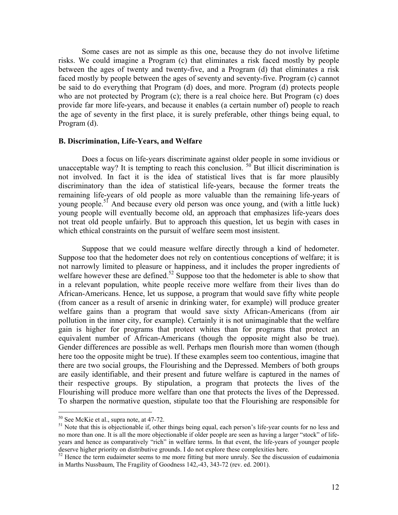Some cases are not as simple as this one, because they do not involve lifetime risks. We could imagine a Program (c) that eliminates a risk faced mostly by people between the ages of twenty and twenty-five, and a Program (d) that eliminates a risk faced mostly by people between the ages of seventy and seventy-five. Program (c) cannot be said to do everything that Program (d) does, and more. Program (d) protects people who are not protected by Program (c); there is a real choice here. But Program (c) does provide far more life-years, and because it enables (a certain number of) people to reach the age of seventy in the first place, it is surely preferable, other things being equal, to Program (d).

#### **B. Discrimination, Life-Years, and Welfare**

Does a focus on life-years discriminate against older people in some invidious or unacceptable way? It is tempting to reach this conclusion.  $50^{\circ}$  But illicit discrimination is not involved. In fact it is the idea of statistical lives that is far more plausibly discriminatory than the idea of statistical life-years, because the former treats the remaining life-years of old people as more valuable than the remaining life-years of young people.<sup>51</sup> And because every old person was once young, and (with a little luck) young people will eventually become old, an approach that emphasizes life-years does not treat old people unfairly. But to approach this question, let us begin with cases in which ethical constraints on the pursuit of welfare seem most insistent.

Suppose that we could measure welfare directly through a kind of hedometer. Suppose too that the hedometer does not rely on contentious conceptions of welfare; it is not narrowly limited to pleasure or happiness, and it includes the proper ingredients of welfare however these are defined.<sup>52</sup> Suppose too that the hedometer is able to show that in a relevant population, white people receive more welfare from their lives than do African-Americans. Hence, let us suppose, a program that would save fifty white people (from cancer as a result of arsenic in drinking water, for example) will produce greater welfare gains than a program that would save sixty African-Americans (from air pollution in the inner city, for example). Certainly it is not unimaginable that the welfare gain is higher for programs that protect whites than for programs that protect an equivalent number of African-Americans (though the opposite might also be true). Gender differences are possible as well. Perhaps men flourish more than women (though here too the opposite might be true). If these examples seem too contentious, imagine that there are two social groups, the Flourishing and the Depressed. Members of both groups are easily identifiable, and their present and future welfare is captured in the names of their respective groups. By stipulation, a program that protects the lives of the Flourishing will produce more welfare than one that protects the lives of the Depressed. To sharpen the normative question, stipulate too that the Flourishing are responsible for

<span id="page-12-0"></span> $50$  See McKie et al., supra note, at 47-72.

<span id="page-12-1"></span><sup>&</sup>lt;sup>51</sup> Note that this is objectionable if, other things being equal, each person's life-year counts for no less and no more than one. It is all the more objectionable if older people are seen as having a larger "stock" of lifeyears and hence as comparatively "rich" in welfare terms. In that event, the life-years of younger people deserve higher priority on distributive grounds. I do not explore these complexities here.

<span id="page-12-2"></span><sup>&</sup>lt;sup>52</sup> Hence the term eudaimeter seems to me more fitting but more unruly. See the discussion of eudaimonia in Marths Nussbaum, The Fragility of Goodness 142,-43, 343-72 (rev. ed. 2001).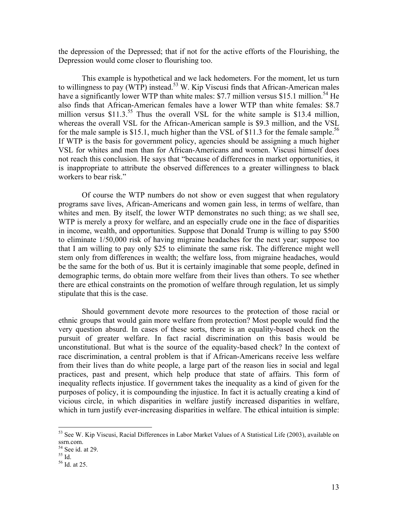the depression of the Depressed; that if not for the active efforts of the Flourishing, the Depression would come closer to flourishing too.

This example is hypothetical and we lack hedometers. For the moment, let us turn to willingness to pay  $(WTP)$  instead.<sup>53</sup> W. Kip Viscusi finds that African-American males have a significantly lower WTP than white males: \$7.7 million versus \$15.1 million.<sup>54</sup> He also finds that African-American females have a lower WTP than white females: \$8.7 million versus  $$11.3<sup>55</sup>$  Thus the overall VSL for the white sample is \$13.4 million, whereas the overall VSL for the African-American sample is \$9.3 million, and the VSL for the male sample is \$15.1, much higher than the VSL of \$11.3 for the female sample.<sup>56</sup> If WTP is the basis for government policy, agencies should be assigning a much higher VSL for whites and men than for African-Americans and women. Viscusi himself does not reach this conclusion. He says that "because of differences in market opportunities, it is inappropriate to attribute the observed differences to a greater willingness to black workers to bear risk."

Of course the WTP numbers do not show or even suggest that when regulatory programs save lives, African-Americans and women gain less, in terms of welfare, than whites and men. By itself, the lower WTP demonstrates no such thing; as we shall see, WTP is merely a proxy for welfare, and an especially crude one in the face of disparities in income, wealth, and opportunities. Suppose that Donald Trump is willing to pay \$500 to eliminate 1/50,000 risk of having migraine headaches for the next year; suppose too that I am willing to pay only \$25 to eliminate the same risk. The difference might well stem only from differences in wealth; the welfare loss, from migraine headaches, would be the same for the both of us. But it is certainly imaginable that some people, defined in demographic terms, do obtain more welfare from their lives than others. To see whether there are ethical constraints on the promotion of welfare through regulation, let us simply stipulate that this is the case.

Should government devote more resources to the protection of those racial or ethnic groups that would gain more welfare from protection? Most people would find the very question absurd. In cases of these sorts, there is an equality-based check on the pursuit of greater welfare. In fact racial discrimination on this basis would be unconstitutional. But what is the source of the equality-based check? In the context of race discrimination, a central problem is that if African-Americans receive less welfare from their lives than do white people, a large part of the reason lies in social and legal practices, past and present, which help produce that state of affairs. This form of inequality reflects injustice. If government takes the inequality as a kind of given for the purposes of policy, it is compounding the injustice. In fact it is actually creating a kind of vicious circle, in which disparities in welfare justify increased disparities in welfare, which in turn justify ever-increasing disparities in welfare. The ethical intuition is simple:

1

<span id="page-13-0"></span><sup>&</sup>lt;sup>53</sup> See W. Kip Viscusi, Racial Differences in Labor Market Values of A Statistical Life (2003), available on ssrn.com.<br><sup>54</sup> See id. at 29.

<span id="page-13-1"></span>

<span id="page-13-2"></span><sup>55</sup> Id.

<span id="page-13-3"></span><sup>56</sup> Id. at 25.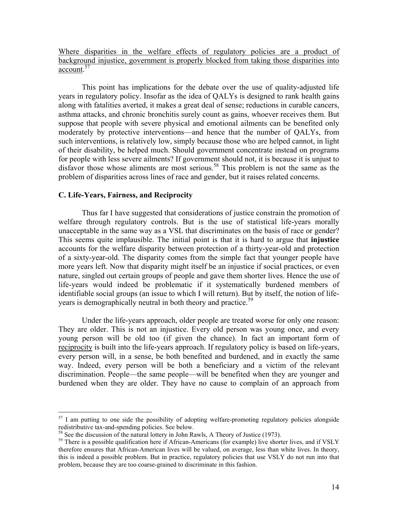Where disparities in the welfare effects of regulatory policies are a product of background injustice, government is properly blocked from taking those disparities into account. [57](#page-14-0)

This point has implications for the debate over the use of quality-adjusted life years in regulatory policy. Insofar as the idea of QALYs is designed to rank health gains along with fatalities averted, it makes a great deal of sense; reductions in curable cancers, asthma attacks, and chronic bronchitis surely count as gains, whoever receives them. But suppose that people with severe physical and emotional ailments can be benefited only moderately by protective interventions—and hence that the number of QALYs, from such interventions, is relatively low, simply because those who are helped cannot, in light of their disability, be helped much. Should government concentrate instead on programs for people with less severe ailments? If government should not, it is because it is unjust to disfavor those whose aliments are most serious.<sup>58</sup> This problem is not the same as the problem of disparities across lines of race and gender, but it raises related concerns.

#### **C. Life-Years, Fairness, and Reciprocity**

 $\overline{a}$ 

Thus far I have suggested that considerations of justice constrain the promotion of welfare through regulatory controls. But is the use of statistical life-years morally unacceptable in the same way as a VSL that discriminates on the basis of race or gender? This seems quite implausible. The initial point is that it is hard to argue that **injustice** accounts for the welfare disparity between protection of a thirty-year-old and protection of a sixty-year-old. The disparity comes from the simple fact that younger people have more years left. Now that disparity might itself be an injustice if social practices, or even nature, singled out certain groups of people and gave them shorter lives. Hence the use of life-years would indeed be problematic if it systematically burdened members of identifiable social groups (an issue to which I will return). But by itself, the notion of lifeyears is demographically neutral in both theory and practice.<sup>59</sup>

Under the life-years approach, older people are treated worse for only one reason: They are older. This is not an injustice. Every old person was young once, and every young person will be old too (if given the chance). In fact an important form of reciprocity is built into the life-years approach. If regulatory policy is based on life-years, every person will, in a sense, be both benefited and burdened, and in exactly the same way. Indeed, every person will be both a beneficiary and a victim of the relevant discrimination. People—the same people—will be benefited when they are younger and burdened when they are older. They have no cause to complain of an approach from

<span id="page-14-0"></span> $57$  I am putting to one side the possibility of adopting welfare-promoting regulatory policies alongside redistributive tax-and-spending policies. See below.<br><sup>58</sup> See the discussion of the natural lottery in John Rawls, A Theory of Justice (1973).<br><sup>59</sup> There is a possible qualification here if African-Americans (for example)

<span id="page-14-1"></span>

<span id="page-14-2"></span>therefore ensures that African-American lives will be valued, on average, less than white lives. In theory, this is indeed a possible problem. But in practice, regulatory policies that use VSLY do not run into that problem, because they are too coarse-grained to discriminate in this fashion.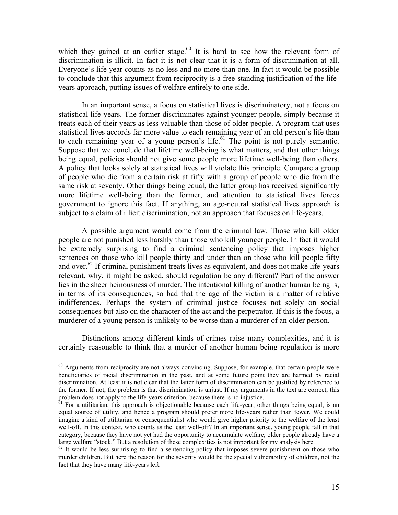which they gained at an earlier stage. $60$  It is hard to see how the relevant form of discrimination is illicit. In fact it is not clear that it is a form of discrimination at all. Everyone's life year counts as no less and no more than one. In fact it would be possible to conclude that this argument from reciprocity is a free-standing justification of the lifeyears approach, putting issues of welfare entirely to one side.

In an important sense, a focus on statistical lives is discriminatory, not a focus on statistical life-years. The former discriminates against younger people, simply because it treats each of their years as less valuable than those of older people. A program that uses statistical lives accords far more value to each remaining year of an old person's life than to each remaining year of a young person's life.<sup>61</sup> The point is not purely semantic. Suppose that we conclude that lifetime well-being is what matters, and that other things being equal, policies should not give some people more lifetime well-being than others. A policy that looks solely at statistical lives will violate this principle. Compare a group of people who die from a certain risk at fifty with a group of people who die from the same risk at seventy. Other things being equal, the latter group has received significantly more lifetime well-being than the former, and attention to statistical lives forces government to ignore this fact. If anything, an age-neutral statistical lives approach is subject to a claim of illicit discrimination, not an approach that focuses on life-years.

A possible argument would come from the criminal law. Those who kill older people are not punished less harshly than those who kill younger people. In fact it would be extremely surprising to find a criminal sentencing policy that imposes higher sentences on those who kill people thirty and under than on those who kill people fifty and over.<sup>62</sup> If criminal punishment treats lives as equivalent, and does not make life-years relevant, why, it might be asked, should regulation be any different? Part of the answer lies in the sheer heinousness of murder. The intentional killing of another human being is, in terms of its consequences, so bad that the age of the victim is a matter of relative indifferences. Perhaps the system of criminal justice focuses not solely on social consequences but also on the character of the act and the perpetrator. If this is the focus, a murderer of a young person is unlikely to be worse than a murderer of an older person.

Distinctions among different kinds of crimes raise many complexities, and it is certainly reasonable to think that a murder of another human being regulation is more

<span id="page-15-0"></span> $60$  Arguments from reciprocity are not always convincing. Suppose, for example, that certain people were beneficiaries of racial discrimination in the past, and at some future point they are harmed by racial discrimination. At least it is not clear that the latter form of discrimination can be justified by reference to the former. If not, the problem is that discrimination is unjust. If my arguments in the text are correct, this problem does not apply to the life-years criterion, because there is no injustice.

<span id="page-15-1"></span> $\frac{1}{61}$  For a utilitarian, this approach is objectionable because each life-year, other things being equal, is an equal source of utility, and hence a program should prefer more life-years rather than fewer. We could imagine a kind of utilitarian or consequentialist who would give higher priority to the welfare of the least well-off. In this context, who counts as the least well-off? In an important sense, young people fall in that category, because they have not yet had the opportunity to accumulate welfare; older people already have a large welfare "stock." But a resolution of these complexities is not important for my analysis here.<br><sup>62</sup> It would be less surprising to find a sentencing policy that imposes severe punishment on those who

<span id="page-15-2"></span>murder children. But here the reason for the severity would be the special vulnerability of children, not the fact that they have many life-years left.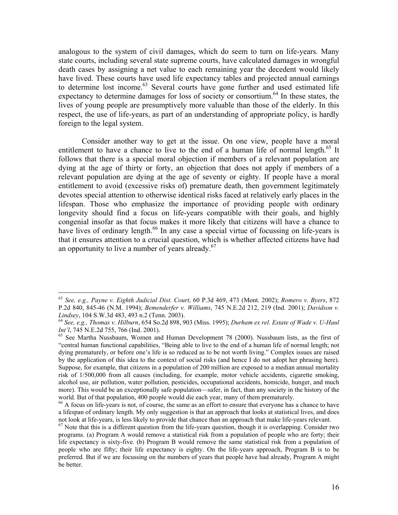analogous to the system of civil damages, which do seem to turn on life-years. Many state courts, including several state supreme courts, have calculated damages in wrongful death cases by assigning a net value to each remaining year the decedent would likely have lived. These courts have used life expectancy tables and projected annual earnings to determine lost income. [63](#page-16-0) Several courts have gone further and used estimated life expectancy to determine damages for loss of society or consortium.<sup>64</sup> In these states, the lives of young people are presumptively more valuable than those of the elderly. In this respect, the use of life-years, as part of an understanding of appropriate policy, is hardly foreign to the legal system.

Consider another way to get at the issue. On one view, people have a moral entitlement to have a chance to live to the end of a human life of normal length.<sup>65</sup> It follows that there is a special moral objection if members of a relevant population are dying at the age of thirty or forty, an objection that does not apply if members of a relevant population are dying at the age of seventy or eighty. If people have a moral entitlement to avoid (excessive risks of) premature death, then government legitimately devotes special attention to otherwise identical risks faced at relatively early places in the lifespan. Those who emphasize the importance of providing people with ordinary longevity should find a focus on life-years compatible with their goals, and highly congenial insofar as that focus makes it more likely that citizens will have a chance to have lives of ordinary length.<sup>66</sup> In any case a special virtue of focussing on life-years is that it ensures attention to a crucial question, which is whether affected citizens have had an opportunity to live a number of years already. $67$ 

<span id="page-16-0"></span><sup>63</sup> *See, e.g., Payne v. Eighth Judicial Dist. Court*, 60 P.3d 469, 473 (Mont. 2002); *Romero v. Byers*, 872 P.2d 840, 845-46 (N.M. 1994); *Bemenderfer v. Williams*, 745 N.E.2d 212, 219 (Ind. 2001); *Davidson v.* 

<span id="page-16-1"></span>*Lindsey*, 104 S.W.3d 483, 493 n.2 (Tenn. 2003). 64 *See, e.g., Thomas v. Hilburn*, 654 So.2d 898, 903 (Miss. 1995); *Durham ex rel. Estate of Wade v. U-Haul*

<span id="page-16-2"></span><sup>&</sup>lt;sup>65</sup> See Martha Nussbaum, Women and Human Development 78 (2000). Nussbaum lists, as the first of "central human functional capabilities, "Being able to live to the end of a human life of normal length; not dying prematurely, or before one's life is so reduced as to be not worth living." Complex issues are raised by the application of this idea to the context of social risks (and hence I do not adopt her phrasing here). Suppose, for example, that citizens in a population of 200 million are exposed to a median annual mortality risk of 1/500,000 from all causes (including, for example, motor vehicle accidents, cigarette smoking, alcohol use, air pollution, water pollution, pesticides, occupational accidents, homicide, hunger, and much more). This would be an exceptionally safe population—safer, in fact, than any society in the history of the world. But of that population, 400 people would die each year, many of them prematurely.

<span id="page-16-3"></span><sup>&</sup>lt;sup>66</sup> A focus on life-years is not, of course, the same as an effort to ensure that everyone has a chance to have a lifespan of ordinary length. My only suggestion is that an approach that looks at statistical lives, and does not look at life-years, is less likely to provide that chance than an approach that make life-years relevant.<br><sup>67</sup> Note that this is a different question from the life-years question, though it is overlapping. Consider two

<span id="page-16-4"></span>programs. (a) Program A would remove a statistical risk from a population of people who are forty; their life expectancy is sixty-five. (b) Program B would remove the same statistical risk from a population of people who are fifty; their life expectancy is eighty. On the life-years approach, Program B is to be preferred. But if we are focussing on the numbers of years that people have had already, Program A might be better.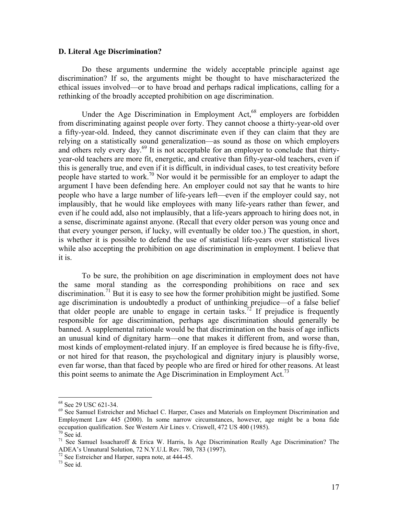#### **D. Literal Age Discrimination?**

Do these arguments undermine the widely acceptable principle against age discrimination? If so, the arguments might be thought to have mischaracterized the ethical issues involved—or to have broad and perhaps radical implications, calling for a rethinking of the broadly accepted prohibition on age discrimination.

Under the Age Discrimination in Employment  $Act<sub>0</sub><sup>68</sup>$  employers are forbidden from discriminating against people over forty. They cannot choose a thirty-year-old over a fifty-year-old. Indeed, they cannot discriminate even if they can claim that they are relying on a statistically sound generalization—as sound as those on which employers and others rely every day.<sup>69</sup> It is not acceptable for an employer to conclude that thirtyyear-old teachers are more fit, energetic, and creative than fifty-year-old teachers, even if this is generally true, and even if it is difficult, in individual cases, to test creativity before people have started to work[.70](#page-17-2) Nor would it be permissible for an employer to adapt the argument I have been defending here. An employer could not say that he wants to hire people who have a large number of life-years left—even if the employer could say, not implausibly, that he would like employees with many life-years rather than fewer, and even if he could add, also not implausibly, that a life-years approach to hiring does not, in a sense, discriminate against anyone. (Recall that every older person was young once and that every younger person, if lucky, will eventually be older too.) The question, in short, is whether it is possible to defend the use of statistical life-years over statistical lives while also accepting the prohibition on age discrimination in employment. I believe that it is.

To be sure, the prohibition on age discrimination in employment does not have the same moral standing as the corresponding prohibitions on race and sex discrimination.<sup>71</sup> But it is easy to see how the former prohibition might be justified. Some age discrimination is undoubtedly a product of unthinking prejudice—of a false belief that older people are unable to engage in certain tasks.<sup>72</sup> If prejudice is frequently responsible for age discrimination, perhaps age discrimination should generally be banned. A supplemental rationale would be that discrimination on the basis of age inflicts an unusual kind of dignitary harm—one that makes it different from, and worse than, most kinds of employment-related injury. If an employee is fired because he is fifty-five, or not hired for that reason, the psychological and dignitary injury is plausibly worse, even far worse, than that faced by people who are fired or hired for other reasons. At least this point seems to animate the Age Discrimination in Employment Act.<sup>73</sup>

<span id="page-17-0"></span><sup>&</sup>lt;sup>68</sup> See 29 USC 621-34.

<span id="page-17-1"></span><sup>&</sup>lt;sup>69</sup> See Samuel Estreicher and Michael C. Harper, Cases and Materials on Employment Discrimination and Employment Law 445 (2000). In some narrow circumstances, however, age might be a bona fide occupation qualification. See Western Air Lines v. Criswell, 472 US 400 (1985). <sup>70</sup> See id.

<span id="page-17-2"></span>

<span id="page-17-3"></span><sup>&</sup>lt;sup>71</sup> See Samuel Issacharoff & Erica W. Harris, Is Age Discrimination Really Age Discrimination? The ADEA's Unnatural Solution, 72 N.Y.U.L Rev. 780, 783 (1997).

<span id="page-17-4"></span> $\frac{72 \text{ Sec.}}{73 \text{ Sec.}}$  Estreicher and Harper, supra note, at 444-45.  $\frac{73 \text{ Sec.}}{3}$ 

<span id="page-17-5"></span>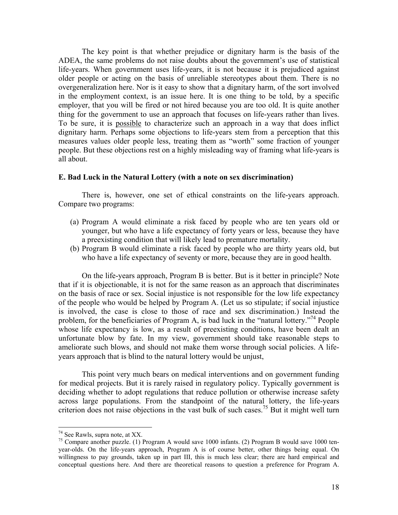<span id="page-18-1"></span>The key point is that whether prejudice or dignitary harm is the basis of the ADEA, the same problems do not raise doubts about the government's use of statistical life-years. When government uses life-years, it is not because it is prejudiced against older people or acting on the basis of unreliable stereotypes about them. There is no overgeneralization here. Nor is it easy to show that a dignitary harm, of the sort involved in the employment context, is an issue here. It is one thing to be told, by a specific employer, that you will be fired or not hired because you are too old. It is quite another thing for the government to use an approach that focuses on life-years rather than lives. To be sure, it is possible to characterize such an approach in a way that does inflict dignitary harm. Perhaps some objections to life-years stem from a perception that this measures values older people less, treating them as "worth" some fraction of younger people. But these objections rest on a highly misleading way of framing what life-years is all about.

#### **E. Bad Luck in the Natural Lottery (with a note on sex discrimination)**

There is, however, one set of ethical constraints on the life-years approach. Compare two programs:

- (a) Program A would eliminate a risk faced by people who are ten years old or younger, but who have a life expectancy of forty years or less, because they have a preexisting condition that will likely lead to premature mortality.
- (b) Program B would eliminate a risk faced by people who are thirty years old, but who have a life expectancy of seventy or more, because they are in good health.

On the life-years approach, Program B is better. But is it better in principle? Note that if it is objectionable, it is not for the same reason as an approach that discriminates on the basis of race or sex. Social injustice is not responsible for the low life expectancy of the people who would be helped by Program A. (Let us so stipulate; if social injustice is involved, the case is close to those of race and sex discrimination.) Instead the problem, for the beneficiaries of Program A, is bad luck in the "natural lottery."<sup>74</sup> People whose life expectancy is low, as a result of preexisting conditions, have been dealt an unfortunate blow by fate. In my view, government should take reasonable steps to ameliorate such blows, and should not make them worse through social policies. A lifeyears approach that is blind to the natural lottery would be unjust,

This point very much bears on medical interventions and on government funding for medical projects. But it is rarely raised in regulatory policy. Typically government is deciding whether to adopt regulations that reduce pollution or otherwise increase safety across large populations. From the standpoint of the natural lottery, the life-years criterion does not raise objections in the vast bulk of such cases.<sup>75</sup> But it might well turn

<span id="page-18-0"></span> $74$  See Rawls, supra note, at XX.

<sup>&</sup>lt;sup>75</sup> Compare another puzzle. (1) Program A would save 1000 infants. (2) Program B would save 1000 tenyear-olds. On the life-years approach, Program A is of course better, other things being equal. On willingness to pay grounds, taken up in part III, this is much less clear; there are hard empirical and conceptual questions here. And there are theoretical reasons to question a preference for Program A.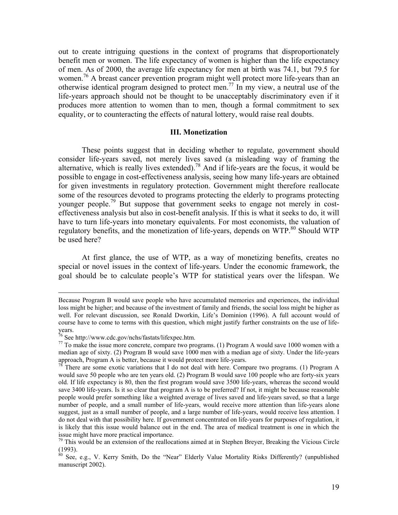out to create intriguing questions in the context of programs that disproportionately benefit men or women. The life expectancy of women is higher than the life expectancy of men. As of 2000, the average life expectancy for men at birth was 74.1, but 79.5 for women.<sup>76</sup> A breast cancer prevention program might well protect more life-years than an otherwise identical program designed to protect men.<sup>77</sup> In my view, a neutral use of the life-years approach should not be thought to be unacceptably discriminatory even if it produces more attention to women than to men, though a formal commitment to sex equality, or to counteracting the effects of natural lottery, would raise real doubts.

#### **III. Monetization**

These points suggest that in deciding whether to regulate, government should consider life-years saved, not merely lives saved (a misleading way of framing the alternative, which is really lives extended)[.78](#page-19-2) And if life-years are the focus, it would be possible to engage in cost-effectiveness analysis, seeing how many life-years are obtained for given investments in regulatory protection. Government might therefore reallocate some of the resources devoted to programs protecting the elderly to programs protecting younger people.<sup>79</sup> But suppose that government seeks to engage not merely in costeffectiveness analysis but also in cost-benefit analysis. If this is what it seeks to do, it will have to turn life-years into monetary equivalents. For most economists, the valuation of regulatory benefits, and the monetization of life-years, depends on WTP.<sup>80</sup> Should WTP be used here?

At first glance, the use of WTP, as a way of monetizing benefits, creates no special or novel issues in the context of life-years. Under the economic framework, the goal should be to calculate people's WTP for statistical years over the lifespan. We

Because Program B would save people who have accumulated memories and experiences, the individual loss might be higher; and because of the investment of family and friends, the social loss might be higher as well. For relevant discussion, see Ronald Dworkin, Life's Dominion (1996). A full account would of course have to come to terms with this question, which might justify further constraints on the use of lifeyears.<br><sup>76</sup> See http://www.cdc.gov/nchs/fastats/lifexpec.htm.

<span id="page-19-0"></span>

<span id="page-19-1"></span> $^{77}$  To make the issue more concrete, compare two programs. (1) Program A would save 1000 women with a median age of sixty. (2) Program B would save 1000 men with a median age of sixty. Under the life-years approach, Program A is better, because it would protect more life-years.

<span id="page-19-2"></span> $78$  There are some exotic variations that I do not deal with here. Compare two programs. (1) Program A would save 50 people who are ten years old. (2) Program B would save 100 people who are forty-six years old. If life expectancy is 80, then the first program would save 3500 life-years, whereas the second would save 3400 life-years. Is it so clear that program A is to be preferred? If not, it might be because reasonable people would prefer something like a weighted average of lives saved and life-years saved, so that a large number of people, and a small number of life-years, would receive more attention than life-years alone suggest, just as a small number of people, and a large number of life-years, would receive less attention. I do not deal with that possibility here. If government concentrated on life-years for purposes of regulation, it is likely that this issue would balance out in the end. The area of medical treatment is one in which the issue might have more practical importance.<br><sup>79</sup> This would be an extension of the reallocations aimed at in Stephen Breyer, Breaking the Vicious Circle

<span id="page-19-3"></span><sup>(1993).</sup> 

<span id="page-19-4"></span> $80$  See, e.g., V. Kerry Smith, Do the "Near" Elderly Value Mortality Risks Differently? (unpublished manuscript 2002).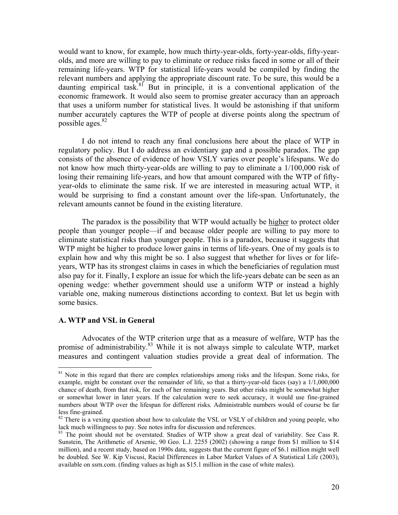would want to know, for example, how much thirty-year-olds, forty-year-olds, fifty-yearolds, and more are willing to pay to eliminate or reduce risks faced in some or all of their remaining life-years. WTP for statistical life-years would be compiled by finding the relevant numbers and applying the appropriate discount rate. To be sure, this would be a daunting empirical task.<sup>81</sup> But in principle, it is a conventional application of the economic framework. It would also seem to promise greater accuracy than an approach that uses a uniform number for statistical lives. It would be astonishing if that uniform number accurately captures the WTP of people at diverse points along the spectrum of possible ages.<sup>[82](#page-20-1)</sup>

I do not intend to reach any final conclusions here about the place of WTP in regulatory policy. But I do address an evidentiary gap and a possible paradox. The gap consists of the absence of evidence of how VSLY varies over people's lifespans. We do not know how much thirty-year-olds are willing to pay to eliminate a 1/100,000 risk of losing their remaining life-years, and how that amount compared with the WTP of fiftyyear-olds to eliminate the same risk. If we are interested in measuring actual WTP, it would be surprising to find a constant amount over the life-span. Unfortunately, the relevant amounts cannot be found in the existing literature.

The paradox is the possibility that WTP would actually be higher to protect older people than younger people—if and because older people are willing to pay more to eliminate statistical risks than younger people. This is a paradox, because it suggests that WTP might be higher to produce lower gains in terms of life-years. One of my goals is to explain how and why this might be so. I also suggest that whether for lives or for lifeyears, WTP has its strongest claims in cases in which the beneficiaries of regulation must also pay for it. Finally, I explore an issue for which the life-years debate can be seen as an opening wedge: whether government should use a uniform WTP or instead a highly variable one, making numerous distinctions according to context. But let us begin with some basics.

#### **A. WTP and VSL in General**

 $\overline{a}$ 

Advocates of the WTP criterion urge that as a measure of welfare, WTP has the promise of administrability.<sup>83</sup> While it is not always simple to calculate WTP, market measures and contingent valuation studies provide a great deal of information. The

<span id="page-20-0"></span><sup>&</sup>lt;sup>81</sup> Note in this regard that there are complex relationships among risks and the lifespan. Some risks, for example, might be constant over the remainder of life, so that a thirty-year-old faces (say) a 1/1,000,000 chance of death, from that risk, for each of her remaining years. But other risks might be somewhat higher or somewhat lower in later years. If the calculation were to seek accuracy, it would use fine-grained numbers about WTP over the lifespan for different risks. Administrable numbers would of course be far less fine-grained.

<span id="page-20-1"></span> $82$  There is a vexing question about how to calculate the VSL or VSLY of children and young people, who lack much willingness to pay. See notes infra for discussion and references.<br><sup>83</sup> The point should not be overstated. Studies of WTP show a great deal of variability. See Cass R.

<span id="page-20-2"></span>Sunstein, The Arithmetic of Arsenic, 90 Geo. L.J. 2255 (2002) (showing a range from \$1 million to \$14 million), and a recent study, based on 1990s data, suggests that the current figure of \$6.1 million might well be doubled. See W. Kip Viscusi, Racial Differences in Labor Market Values of A Statistical Life (2003), available on ssrn.com. (finding values as high as \$15.1 million in the case of white males).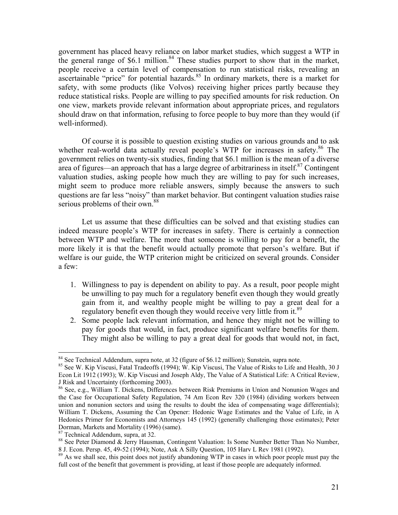government has placed heavy reliance on labor market studies, which suggest a WTP in the general range of \$6.1 million.<sup>84</sup> These studies purport to show that in the market, people receive a certain level of compensation to run statistical risks, revealing an ascertainable "price" for potential hazards.<sup>85</sup> In ordinary markets, there is a market for safety, with some products (like Volvos) receiving higher prices partly because they reduce statistical risks. People are willing to pay specified amounts for risk reduction. On one view, markets provide relevant information about appropriate prices, and regulators should draw on that information, refusing to force people to buy more than they would (if well-informed).

Of course it is possible to question existing studies on various grounds and to ask whether real-world data actually reveal people's WTP for increases in safety.<sup>86</sup> The government relies on twenty-six studies, finding that \$6.1 million is the mean of a diverse area of figures—an approach that has a large degree of arbitrariness in itself.<sup>87</sup> Contingent valuation studies, asking people how much they are willing to pay for such increases, might seem to produce more reliable answers, simply because the answers to such questions are far less "noisy" than market behavior. But contingent valuation studies raise serious problems of their own.<sup>88</sup>

Let us assume that these difficulties can be solved and that existing studies can indeed measure people's WTP for increases in safety. There is certainly a connection between WTP and welfare. The more that someone is willing to pay for a benefit, the more likely it is that the benefit would actually promote that person's welfare. But if welfare is our guide, the WTP criterion might be criticized on several grounds. Consider a few:

- 1. Willingness to pay is dependent on ability to pay. As a result, poor people might be unwilling to pay much for a regulatory benefit even though they would greatly gain from it, and wealthy people might be willing to pay a great deal for a regulatory benefit even though they would receive very little from it.<sup>89</sup>
- 2. Some people lack relevant information, and hence they might not be willing to pay for goods that would, in fact, produce significant welfare benefits for them. They might also be willing to pay a great deal for goods that would not, in fact,

<span id="page-21-0"></span><sup>&</sup>lt;sup>84</sup> See Technical Addendum, supra note, at 32 (figure of \$6.12 million); Sunstein, supra note.

<span id="page-21-1"></span><sup>&</sup>lt;sup>85</sup> See W. Kip Viscusi, Fatal Tradeoffs (1994); W. Kip Viscusi, The Value of Risks to Life and Health, 30 J Econ Lit 1912 (1993); W. Kip Viscusi and Joseph Aldy, The Value of A Statistical Life: A Critical Review, J Risk and Uncertainty (forthcoming 2003). 86 See, e.g., William T. Dickens, Differences between Risk Premiums in Union and Nonunion Wages and

<span id="page-21-2"></span>the Case for Occupational Safety Regulation, 74 Am Econ Rev 320 (1984) (dividing workers between union and nonunion sectors and using the results to doubt the idea of compensating wage differentials); William T. Dickens, Assuming the Can Opener: Hedonic Wage Estimates and the Value of Life, in A Hedonics Primer for Economists and Attorneys 145 (1992) (generally challenging those estimates); Peter

<span id="page-21-4"></span><span id="page-21-3"></span>

Borman, Markets and Mortality (1996) (same).<br>
<sup>87</sup> Technical Addendum, supra, at 32.<br>
<sup>88</sup> See Peter Diamond & Jerry Hausman, Contingent Valuation: Is Some Number Better Than No Number,<br>
8 J. Econ. Persp. 45, 49-52 (1994);

<span id="page-21-5"></span> $89$  As we shall see, this point does not justify abandoning WTP in cases in which poor people must pay the full cost of the benefit that government is providing, at least if those people are adequately informed.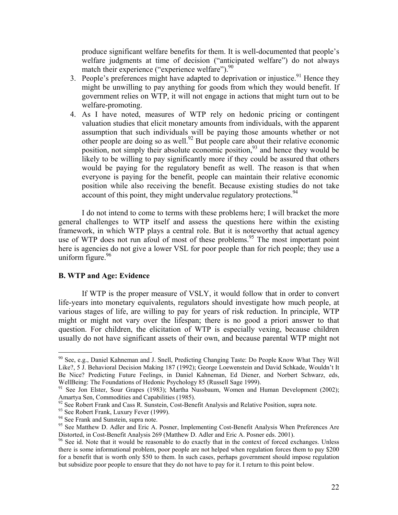produce significant welfare benefits for them. It is well-documented that people's welfare judgments at time of decision ("anticipated welfare") do not always match their experience ("experience welfare").<sup>90</sup>

- 3. People's preferences might have adapted to deprivation or injustice.<sup>91</sup> Hence they might be unwilling to pay anything for goods from which they would benefit. If government relies on WTP, it will not engage in actions that might turn out to be welfare-promoting.
- 4. As I have noted, measures of WTP rely on hedonic pricing or contingent valuation studies that elicit monetary amounts from individuals, with the apparent assumption that such individuals will be paying those amounts whether or not other people are doing so as well.<sup>92</sup> But people care about their relative economic position, not simply their absolute economic position,  $93$  and hence they would be likely to be willing to pay significantly more if they could be assured that others would be paying for the regulatory benefit as well. The reason is that when everyone is paying for the benefit, people can maintain their relative economic position while also receiving the benefit. Because existing studies do not take account of this point, they might undervalue regulatory protections.  $94$

I do not intend to come to terms with these problems here; I will bracket the more general challenges to WTP itself and assess the questions here within the existing framework, in which WTP plays a central role. But it is noteworthy that actual agency use of WTP does not run afoul of most of these problems.<sup>95</sup> The most important point here is agencies do not give a lower VSL for poor people than for rich people; they use a uniform figure.  $96$ 

#### **B. WTP and Age: Evidence**

 $\overline{a}$ 

If WTP is the proper measure of VSLY, it would follow that in order to convert life-years into monetary equivalents, regulators should investigate how much people, at various stages of life, are willing to pay for years of risk reduction. In principle, WTP might or might not vary over the lifespan; there is no good a priori answer to that question. For children, the elicitation of WTP is especially vexing, because children usually do not have significant assets of their own, and because parental WTP might not

<span id="page-22-0"></span><sup>&</sup>lt;sup>90</sup> See, e.g., Daniel Kahneman and J. Snell, Predicting Changing Taste: Do People Know What They Will Like?, 5 J. Behavioral Decision Making 187 (1992); George Loewenstein and David Schkade, Wouldn't It Be Nice? Predicting Future Feelings, in Daniel Kahneman, Ed Diener, and Norbert Schwarz, eds, WellBeing: The Foundations of Hedonic Psychology 85 (Russell Sage 1999).<br><sup>91</sup> See Jon Elster, Sour Grapes (1983); Martha Nussbaum, Women and Human Development (2002);

<span id="page-22-1"></span>

<span id="page-22-2"></span>

<span id="page-22-3"></span>

<span id="page-22-5"></span><span id="page-22-4"></span>

Amartya Sen, Commodities and Capabilities (1985).<br><sup>92</sup> See Robert Frank and Cass R. Sunstein, Cost-Benefit Analysis and Relative Position, supra note.<br><sup>93</sup> See Robert Frank, Luxury Fever (1999).<br><sup>94</sup> See Frank and Sunstein

<span id="page-22-6"></span><sup>&</sup>lt;sup>96</sup> See id. Note that it would be reasonable to do exactly that in the context of forced exchanges. Unless there is some informational problem, poor people are not helped when regulation forces them to pay \$200 for a benefit that is worth only \$50 to them. In such cases, perhaps government should impose regulation but subsidize poor people to ensure that they do not have to pay for it. I return to this point below.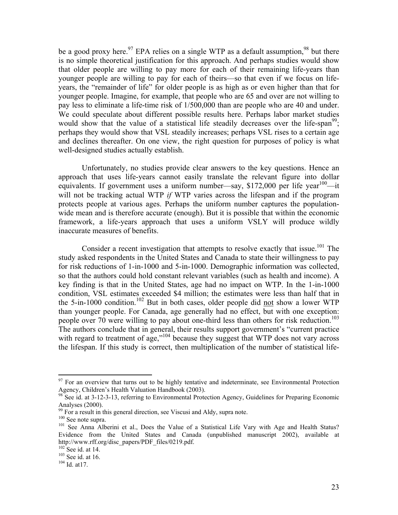be a good proxy here.<sup>97</sup> EPA relies on a single WTP as a default assumption,<sup>98</sup> but there is no simple theoretical justification for this approach. And perhaps studies would show that older people are willing to pay more for each of their remaining life-years than younger people are willing to pay for each of theirs—so that even if we focus on lifeyears, the "remainder of life" for older people is as high as or even higher than that for younger people. Imagine, for example, that people who are 65 and over are not willing to pay less to eliminate a life-time risk of 1/500,000 than are people who are 40 and under. We could speculate about different possible results here. Perhaps labor market studies would show that the value of a statistical life steadily decreases over the life-span<sup>99</sup>; perhaps they would show that VSL steadily increases; perhaps VSL rises to a certain age and declines thereafter. On one view, the right question for purposes of policy is what well-designed studies actually establish.

Unfortunately, no studies provide clear answers to the key questions. Hence an approach that uses life-years cannot easily translate the relevant figure into dollar equivalents. If government uses a uniform number—say,  $$172,000$  per life year<sup>100</sup>—it will not be tracking actual WTP *if* WTP varies across the lifespan and if the program protects people at various ages. Perhaps the uniform number captures the populationwide mean and is therefore accurate (enough). But it is possible that within the economic framework, a life-years approach that uses a uniform VSLY will produce wildly inaccurate measures of benefits.

Consider a recent investigation that attempts to resolve exactly that issue.<sup>101</sup> The study asked respondents in the United States and Canada to state their willingness to pay for risk reductions of 1-in-1000 and 5-in-1000. Demographic information was collected, so that the authors could hold constant relevant variables (such as health and income). A key finding is that in the United States, age had no impact on WTP. In the 1-in-1000 condition, VSL estimates exceeded \$4 million; the estimates were less than half that in the  $5$ -in-1000 condition.<sup>102</sup> But in both cases, older people did not show a lower WTP than younger people. For Canada, age generally had no effect, but with one exception: people over 70 were willing to pay about one-third less than others for risk reduction.<sup>103</sup> The authors conclude that in general, their results support government's "current practice with regard to treatment of age,"<sup>104</sup> because they suggest that WTP does not vary across the lifespan. If this study is correct, then multiplication of the number of statistical life-

<u>.</u>

<span id="page-23-0"></span> $97$  For an overview that turns out to be highly tentative and indeterminate, see Environmental Protection Agency, Children's Health Valuation Handbook (2003).<br><sup>98</sup> See id. at 3-12-3-13, referring to Environmental Protection Agency, Guidelines for Preparing Economic

<span id="page-23-1"></span>Analyses (2000).<br><sup>99</sup> For a result in this general direction, see Viscusi and Aldy, supra note.<br><sup>100</sup> See note supra.<br><sup>101</sup> See Anna Alberini et al., Does the Value of a Statistical Life Vary with Age and Health Status?

<span id="page-23-2"></span>

<span id="page-23-3"></span>

<span id="page-23-4"></span>Evidence from the United States and Canada (unpublished manuscript 2002), available at http://www.rff.org/disc\_papers/PDF\_files/0219.pdf.<br><sup>102</sup> See id. at 14.<br><sup>103</sup> See id. at 16.<br><sup>104</sup> Id. at17.

<span id="page-23-5"></span>

<span id="page-23-6"></span>

<span id="page-23-7"></span>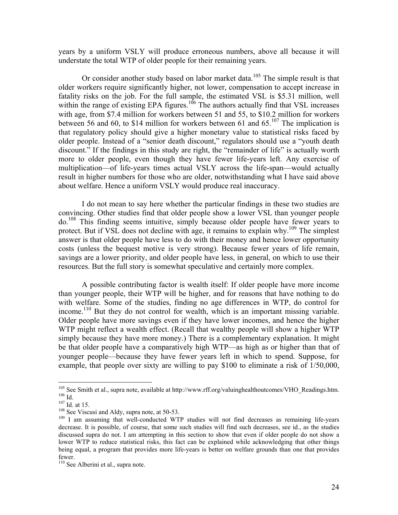years by a uniform VSLY will produce erroneous numbers, above all because it will understate the total WTP of older people for their remaining years.

Or consider another study based on labor market data.<sup>105</sup> The simple result is that older workers require significantly higher, not lower, compensation to accept increase in fatality risks on the job. For the full sample, the estimated VSL is \$5.31 million, well within the range of existing EPA figures.<sup>106</sup> The authors actually find that VSL increases with age, from \$7.4 million for workers between 51 and 55, to \$10.2 million for workers between 56 and 60, to \$14 million for workers between 61 and  $65$ .<sup>107</sup> The implication is that regulatory policy should give a higher monetary value to statistical risks faced by older people. Instead of a "senior death discount," regulators should use a "youth death discount." If the findings in this study are right, the "remainder of life" is actually worth more to older people, even though they have fewer life-years left. Any exercise of multiplication—of life-years times actual VSLY across the life-span—would actually result in higher numbers for those who are older, notwithstanding what I have said above about welfare. Hence a uniform VSLY would produce real inaccuracy.

I do not mean to say here whether the particular findings in these two studies are convincing. Other studies find that older people show a lower VSL than younger people do.[108](#page-24-3) This finding seems intuitive, simply because older people have fewer years to protect. But if VSL does not decline with age, it remains to explain why.<sup>109</sup> The simplest answer is that older people have less to do with their money and hence lower opportunity costs (unless the bequest motive is very strong). Because fewer years of life remain, savings are a lower priority, and older people have less, in general, on which to use their resources. But the full story is somewhat speculative and certainly more complex.

A possible contributing factor is wealth itself: If older people have more income than younger people, their WTP will be higher, and for reasons that have nothing to do with welfare. Some of the studies, finding no age differences in WTP, do control for income. [110](#page-24-5) But they do not control for wealth, which is an important missing variable. Older people have more savings even if they have lower incomes, and hence the higher WTP might reflect a wealth effect. (Recall that wealthy people will show a higher WTP simply because they have more money.) There is a complementary explanation. It might be that older people have a comparatively high WTP—as high as or higher than that of younger people—because they have fewer years left in which to spend. Suppose, for example, that people over sixty are willing to pay \$100 to eliminate a risk of 1/50,000,

<span id="page-24-0"></span><sup>&</sup>lt;sup>105</sup> See Smith et al., supra note, available at http://www.rff.org/valuinghealthoutcomes/VHO\_Readings.htm. See Sinui et al., supra note, avanaolo di maprici in matematic secondo allo  $10^7$  Id. at 15.<br>
<sup>107</sup> Id. at 15.<br>
<sup>108</sup> See Viscusi and Aldy, supra note, at 50-53.<br>
<sup>109</sup> I am assuming that well-conducted WTP studies will

<span id="page-24-2"></span><span id="page-24-1"></span>

<span id="page-24-3"></span>

<span id="page-24-4"></span>decrease. It is possible, of course, that some such studies will find such decreases, see id., as the studies discussed supra do not. I am attempting in this section to show that even if older people do not show a lower WTP to reduce statistical risks, this fact can be explained while acknowledging that other things being equal, a program that provides more life-years is better on welfare grounds than one that provides fewer.

<span id="page-24-5"></span><sup>&</sup>lt;sup>110</sup> See Alberini et al., supra note.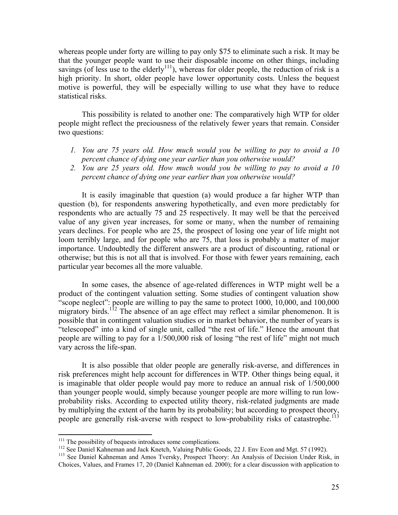<span id="page-25-2"></span>whereas people under forty are willing to pay only \$75 to eliminate such a risk. It may be that the younger people want to use their disposable income on other things, including savings (of less use to the elderly<sup>111</sup>), whereas for older people, the reduction of risk is a high priority. In short, older people have lower opportunity costs. Unless the bequest motive is powerful, they will be especially willing to use what they have to reduce statistical risks.

This possibility is related to another one: The comparatively high WTP for older people might reflect the preciousness of the relatively fewer years that remain. Consider two questions:

- *1. You are 75 years old. How much would you be willing to pay to avoid a 10 percent chance of dying one year earlier than you otherwise would?*
- *2. You are 25 years old. How much would you be willing to pay to avoid a 10 percent chance of dying one year earlier than you otherwise would?*

It is easily imaginable that question (a) would produce a far higher WTP than question (b), for respondents answering hypothetically, and even more predictably for respondents who are actually 75 and 25 respectively. It may well be that the perceived value of any given year increases, for some or many, when the number of remaining years declines. For people who are 25, the prospect of losing one year of life might not loom terribly large, and for people who are 75, that loss is probably a matter of major importance. Undoubtedly the different answers are a product of discounting, rational or otherwise; but this is not all that is involved. For those with fewer years remaining, each particular year becomes all the more valuable.

In some cases, the absence of age-related differences in WTP might well be a product of the contingent valuation setting. Some studies of contingent valuation show "scope neglect": people are willing to pay the same to protect  $1000$ ,  $10,000$ , and  $100,000$ migratory birds.<sup>112</sup> The absence of an age effect may reflect a similar phenomenon. It is possible that in contingent valuation studies or in market behavior, the number of years is "telescoped" into a kind of single unit, called "the rest of life." Hence the amount that people are willing to pay for a 1/500,000 risk of losing "the rest of life" might not much vary across the life-span.

It is also possible that older people are generally risk-averse, and differences in risk preferences might help account for differences in WTP. Other things being equal, it is imaginable that older people would pay more to reduce an annual risk of 1/500,000 than younger people would, simply because younger people are more willing to run lowprobability risks. According to expected utility theory, risk-related judgments are made by multiplying the extent of the harm by its probability; but according to prospect theory, people are generally risk-averse with respect to low-probability risks of catastrophe.<sup>113</sup>

1

<span id="page-25-1"></span><span id="page-25-0"></span>

<sup>&</sup>lt;sup>112</sup> The possibility of bequests introduces some complications.<br><sup>112</sup> See Daniel Kahneman and Jack Knetch, Valuing Public Goods, 22 J. Env Econ and Mgt. 57 (1992).<br><sup>113</sup> See Daniel Kahneman and Amos Tversky, Prospect The

Choices, Values, and Frames 17, 20 (Daniel Kahneman ed. 2000); for a clear discussion with application to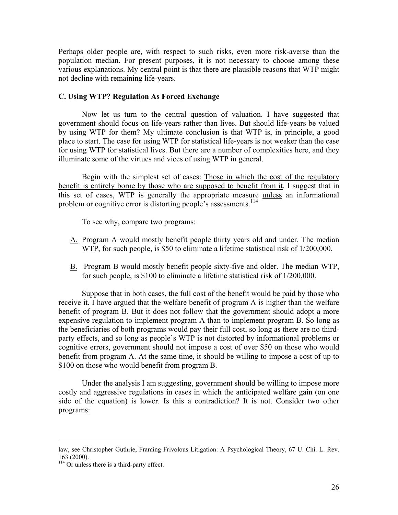Perhaps older people are, with respect to such risks, even more risk-averse than the population median. For present purposes, it is not necessary to choose among these various explanations. My central point is that there are plausible reasons that WTP might not decline with remaining life-years.

#### **C. Using WTP? Regulation As Forced Exchange**

Now let us turn to the central question of valuation. I have suggested that government should focus on life-years rather than lives. But should life-years be valued by using WTP for them? My ultimate conclusion is that WTP is, in principle, a good place to start. The case for using WTP for statistical life-years is not weaker than the case for using WTP for statistical lives. But there are a number of complexities here, and they illuminate some of the virtues and vices of using WTP in general.

Begin with the simplest set of cases: Those in which the cost of the regulatory benefit is entirely borne by those who are supposed to benefit from it. I suggest that in this set of cases, WTP is generally the appropriate measure unless an informational problem or cognitive error is distorting people's assessments.<sup>114</sup>

To see why, compare two programs:

- A. Program A would mostly benefit people thirty years old and under. The median WTP, for such people, is \$50 to eliminate a lifetime statistical risk of 1/200,000.
- B. Program B would mostly benefit people sixty-five and older. The median WTP, for such people, is \$100 to eliminate a lifetime statistical risk of 1/200,000.

Suppose that in both cases, the full cost of the benefit would be paid by those who receive it. I have argued that the welfare benefit of program A is higher than the welfare benefit of program B. But it does not follow that the government should adopt a more expensive regulation to implement program A than to implement program B. So long as the beneficiaries of both programs would pay their full cost, so long as there are no thirdparty effects, and so long as people's WTP is not distorted by informational problems or cognitive errors, government should not impose a cost of over \$50 on those who would benefit from program A. At the same time, it should be willing to impose a cost of up to \$100 on those who would benefit from program B.

Under the analysis I am suggesting, government should be willing to impose more costly and aggressive regulations in cases in which the anticipated welfare gain (on one side of the equation) is lower. Is this a contradiction? It is not. Consider two other programs:

law, see Christopher Guthrie, Framing Frivolous Litigation: A Psychological Theory, 67 U. Chi. L. Rev. 163 (2000).

<span id="page-26-0"></span><sup>&</sup>lt;sup>114</sup> Or unless there is a third-party effect.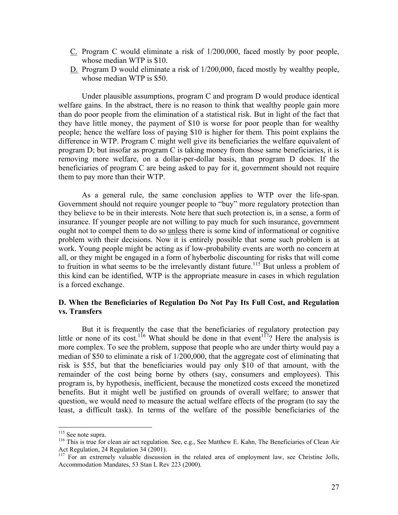- C. Program C would eliminate a risk of 1/200,000, faced mostly by poor people, whose median WTP is \$10.
- D. Program D would eliminate a risk of 1/200,000, faced mostly by wealthy people, whose median WTP is \$50.

Under plausible assumptions, program C and program D would produce identical welfare gains. In the abstract, there is no reason to think that wealthy people gain more than do poor people from the elimination of a statistical risk. But in light of the fact that they have little money, the payment of \$10 is worse for poor people than for wealthy people; hence the welfare loss of paying \$10 is higher for them. This point explains the difference in WTP. Program C might well give its beneficiaries the welfare equivalent of program D; but insofar as program C is taking money from those same beneficiaries, it is removing more welfare, on a dollar-per-dollar basis, than program D does. If the beneficiaries of program C are being asked to pay for it, government should not require them to pay more than their WTP.

As a general rule, the same conclusion applies to WTP over the life-span. Government should not require younger people to "buy" more regulatory protection than they believe to be in their interests. Note here that such protection is, in a sense, a form of insurance. If younger people are not willing to pay much for such insurance, government ought not to compel them to do so unless there is some kind of informational or cognitive problem with their decisions. Now it is entirely possible that some such problem is at work. Young people might be acting as if low-probability events are worth no concern at all, or they might be engaged in a form of hyberbolic discounting for risks that will come to fruition in what seems to be the irrelevantly distant future.<sup>115</sup> But unless a problem of this kind can be identified, WTP is the appropriate measure in cases in which regulation is a forced exchange.

#### **D. When the Beneficiaries of Regulation Do Not Pay Its Full Cost, and Regulation vs. Transfers**

But it is frequently the case that the beneficiaries of regulatory protection pay little or none of its cost.<sup>116</sup> What should be done in that event<sup>117</sup>? Here the analysis is more complex. To see the problem, suppose that people who are under thirty would pay a median of \$50 to eliminate a risk of 1/200,000, that the aggregate cost of eliminating that risk is \$55, but that the beneficiaries would pay only \$10 of that amount, with the remainder of the cost being borne by others (say, consumers and employees). This program is, by hypothesis, inefficient, because the monetized costs exceed the monetized benefits. But it might well be justified on grounds of overall welfare; to answer that question, we would need to measure the actual welfare effects of the program (to say the least, a difficult task). In terms of the welfare of the possible beneficiaries of the

<span id="page-27-0"></span><sup>&</sup>lt;sup>115</sup> See note supra.

<span id="page-27-1"></span><sup>&</sup>lt;sup>116</sup> This is true for clean air act regulation. See, e.g., See Matthew E. Kahn, The Beneficiaries of Clean Air Act Regulation, 24 Regulation 34 (2001).

<span id="page-27-2"></span> $117$  For an extremely valuable discussion in the related area of employment law, see Christine Jolls, Accommodation Mandates, 53 Stan L Rev 223 (2000).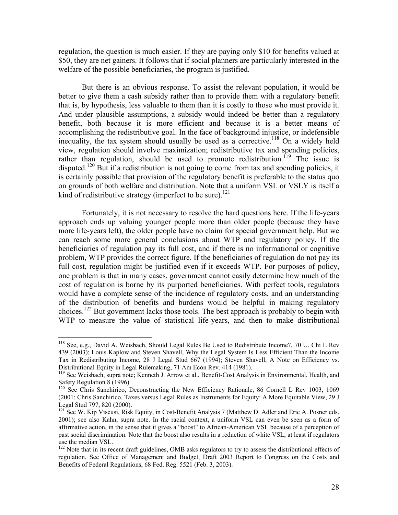regulation, the question is much easier. If they are paying only \$10 for benefits valued at \$50, they are net gainers. It follows that if social planners are particularly interested in the welfare of the possible beneficiaries, the program is justified.

But there is an obvious response. To assist the relevant population, it would be better to give them a cash subsidy rather than to provide them with a regulatory benefit that is, by hypothesis, less valuable to them than it is costly to those who must provide it. And under plausible assumptions, a subsidy would indeed be better than a regulatory benefit, both because it is more efficient and because it is a better means of accomplishing the redistributive goal. In the face of background injustice, or indefensible inequality, the tax system should usually be used as a corrective.<sup>118</sup> On a widely held view, regulation should involve maximization; redistributive tax and spending policies, rather than regulation, should be used to promote redistribution.<sup>119</sup> The issue is disputed.<sup>120</sup> But if a redistribution is not going to come from tax and spending policies, it is certainly possible that provision of the regulatory benefit is preferable to the status quo on grounds of both welfare and distribution. Note that a uniform VSL or VSLY is itself a kind of redistributive strategy (imperfect to be sure).<sup>121</sup>

Fortunately, it is not necessary to resolve the hard questions here. If the life-years approach ends up valuing younger people more than older people (because they have more life-years left), the older people have no claim for special government help. But we can reach some more general conclusions about WTP and regulatory policy. If the beneficiaries of regulation pay its full cost, and if there is no informational or cognitive problem, WTP provides the correct figure. If the beneficiaries of regulation do not pay its full cost, regulation might be justified even if it exceeds WTP. For purposes of policy, one problem is that in many cases, government cannot easily determine how much of the cost of regulation is borne by its purported beneficiaries. With perfect tools, regulators would have a complete sense of the incidence of regulatory costs, and an understanding of the distribution of benefits and burdens would be helpful in making regulatory choices[.122 B](#page-28-4)ut government lacks those tools. The best approach is probably to begin with WTP to measure the value of statistical life-years, and then to make distributional

<span id="page-28-0"></span><sup>&</sup>lt;sup>118</sup> See, e.g., David A. Weisbach, Should Legal Rules Be Used to Redistribute Income?, 70 U. Chi L Rev 439 (2003); Louis Kaplow and Steven Shavell, Why the Legal System Is Less Efficient Than the Income Tax in Redistributing Income, 28 J Legal Stud 667 (1994); Steven Shavell, A Note on Efficiency vs.

<span id="page-28-1"></span>Distributional Equity in Legal Rulemaking, 71 Am Econ Rev. 414 (1981).<br><sup>119</sup> See Weisbach, supra note; Kenneth J. Arrow et al., Benefit-Cost Analysis in Environmental, Health, and<br>Safety Regulation 8 (1996)

<span id="page-28-2"></span><sup>&</sup>lt;sup>120</sup> See Chris Sanchirico, Deconstructing the New Efficiency Rationale, 86 Cornell L Rev 1003, 1069 (2001; Chris Sanchirico, Taxes versus Legal Rules as Instruments for Equity: A More Equitable View, 29 J Legal Stud 797, 820 (2000).<br><sup>121</sup> See W. Kip Viscusi, Risk Equity, in Cost-Benefit Analysis 7 (Matthew D. Adler and Eric A. Posner eds.

<span id="page-28-3"></span><sup>2001);</sup> see also Kahn, supra note. In the racial context, a uniform VSL can even be seen as a form of affirmative action, in the sense that it gives a "boost" to African-American VSL because of a perception of past social discrimination. Note that the boost also results in a reduction of white VSL, at least if regulators

<span id="page-28-4"></span> $122$  Note that in its recent draft guidelines, OMB asks regulators to try to assess the distributional effects of regulation. See Office of Management and Budget, Draft 2003 Report to Congress on the Costs and Benefits of Federal Regulations, 68 Fed. Reg. 5521 (Feb. 3, 2003).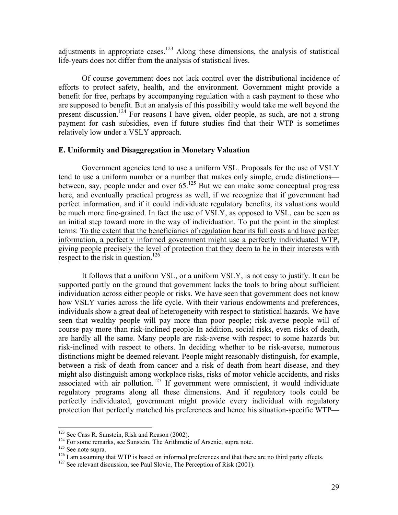adjustments in appropriate cases.<sup>123</sup> Along these dimensions, the analysis of statistical life-years does not differ from the analysis of statistical lives.

Of course government does not lack control over the distributional incidence of efforts to protect safety, health, and the environment. Government might provide a benefit for free, perhaps by accompanying regulation with a cash payment to those who are supposed to benefit. But an analysis of this possibility would take me well beyond the present discussion.<sup>124</sup> For reasons  $\tilde{I}$  have given, older people, as such, are not a strong payment for cash subsidies, even if future studies find that their WTP is sometimes relatively low under a VSLY approach.

#### **E. Uniformity and Disaggregation in Monetary Valuation**

Government agencies tend to use a uniform VSL. Proposals for the use of VSLY tend to use a uniform number or a number that makes only simple, crude distinctions between, say, people under and over  $65$ .<sup>125</sup> But we can make some conceptual progress here, and eventually practical progress as well, if we recognize that if government had perfect information, and if it could individuate regulatory benefits, its valuations would be much more fine-grained. In fact the use of VSLY, as opposed to VSL, can be seen as an initial step toward more in the way of individuation. To put the point in the simplest terms: To the extent that the beneficiaries of regulation bear its full costs and have perfect information, a perfectly informed government might use a perfectly individuated WTP, giving people precisely the level of protection that they deem to be in their interests with respect to the risk in question.<sup>[126](#page-29-3)</sup>

It follows that a uniform VSL, or a uniform VSLY, is not easy to justify. It can be supported partly on the ground that government lacks the tools to bring about sufficient individuation across either people or risks. We have seen that government does not know how VSLY varies across the life cycle. With their various endowments and preferences, individuals show a great deal of heterogeneity with respect to statistical hazards. We have seen that wealthy people will pay more than poor people; risk-averse people will of course pay more than risk-inclined people In addition, social risks, even risks of death, are hardly all the same. Many people are risk-averse with respect to some hazards but risk-inclined with respect to others. In deciding whether to be risk-averse, numerous distinctions might be deemed relevant. People might reasonably distinguish, for example, between a risk of death from cancer and a risk of death from heart disease, and they might also distinguish among workplace risks, risks of motor vehicle accidents, and risks associated with air pollution.<sup>127</sup> If government were omniscient, it would individuate regulatory programs along all these dimensions. And if regulatory tools could be perfectly individuated, government might provide every individual with regulatory protection that perfectly matched his preferences and hence his situation-specific WTP—

<span id="page-29-0"></span><sup>&</sup>lt;sup>123</sup> See Cass R. Sunstein, Risk and Reason (2002).

<span id="page-29-1"></span>

<span id="page-29-3"></span><span id="page-29-2"></span>

<sup>&</sup>lt;sup>124</sup> For some remarks, see Sunstein, The Arithmetic of Arsenic, supra note.<br><sup>125</sup> See note supra.<br><sup>126</sup> I am assuming that WTP is based on informed preferences and that there are no third party effects.<br><sup>127</sup> See relevan

<span id="page-29-4"></span>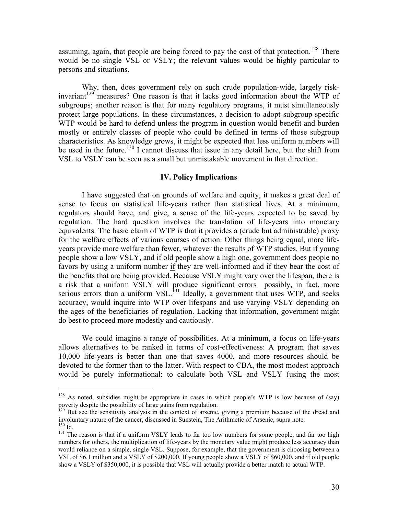assuming, again, that people are being forced to pay the cost of that protection.<sup>128</sup> There would be no single VSL or VSLY; the relevant values would be highly particular to persons and situations.

Why, then, does government rely on such crude population-wide, largely riskinvariant<sup>129</sup> measures? One reason is that it lacks good information about the WTP of subgroups; another reason is that for many regulatory programs, it must simultaneously protect large populations. In these circumstances, a decision to adopt subgroup-specific WTP would be hard to defend unless the program in question would benefit and burden mostly or entirely classes of people who could be defined in terms of those subgroup characteristics. As knowledge grows, it might be expected that less uniform numbers will be used in the future.<sup>130</sup> I cannot discuss that issue in any detail here, but the shift from VSL to VSLY can be seen as a small but unmistakable movement in that direction.

#### **IV. Policy Implications**

I have suggested that on grounds of welfare and equity, it makes a great deal of sense to focus on statistical life-years rather than statistical lives. At a minimum, regulators should have, and give, a sense of the life-years expected to be saved by regulation. The hard question involves the translation of life-years into monetary equivalents. The basic claim of WTP is that it provides a (crude but administrable) proxy for the welfare effects of various courses of action. Other things being equal, more lifeyears provide more welfare than fewer, whatever the results of WTP studies. But if young people show a low VSLY, and if old people show a high one, government does people no favors by using a uniform number if they are well-informed and if they bear the cost of the benefits that are being provided. Because VSLY might vary over the lifespan, there is a risk that a uniform VSLY will produce significant errors—possibly, in fact, more serious errors than a uniform VSL.<sup>131</sup> Ideally, a government that uses WTP, and seeks accuracy, would inquire into WTP over lifespans and use varying VSLY depending on the ages of the beneficiaries of regulation. Lacking that information, government might do best to proceed more modestly and cautiously.

We could imagine a range of possibilities. At a minimum, a focus on life-years allows alternatives to be ranked in terms of cost-effectiveness: A program that saves 10,000 life-years is better than one that saves 4000, and more resources should be devoted to the former than to the latter. With respect to CBA, the most modest approach would be purely informational: to calculate both VSL and VSLY (using the most

<span id="page-30-0"></span><sup>&</sup>lt;sup>128</sup> As noted, subsidies might be appropriate in cases in which people's WTP is low because of (say) poverty despite the possibility of large gains from regulation.

<span id="page-30-1"></span>poverty despite the possibility of large gains from regulation.<br><sup>129</sup> But see the sensitivity analysis in the context of arsenic, giving a premium because of the dread and involuntary nature of the cancer, discussed in Sun

<span id="page-30-3"></span><span id="page-30-2"></span><sup>&</sup>lt;sup>130</sup> Id. <sup>131</sup> The reason is that if a uniform VSLY leads to far too low numbers for some people, and far too high numbers for others, the multiplication of life-years by the monetary value might produce less accuracy than would reliance on a simple, single VSL. Suppose, for example, that the government is choosing between a VSL of \$6.1 million and a VSLY of \$200,000. If young people show a VSLY of \$60,000, and if old people show a VSLY of \$350,000, it is possible that VSL will actually provide a better match to actual WTP.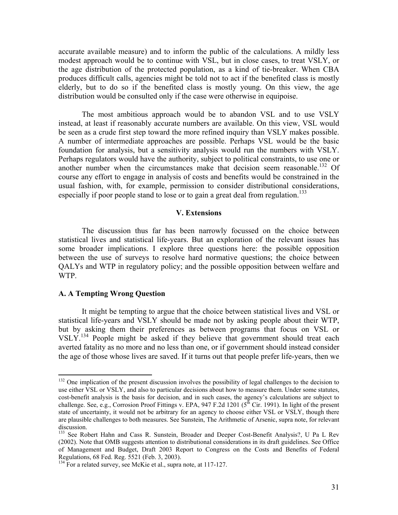accurate available measure) and to inform the public of the calculations. A mildly less modest approach would be to continue with VSL, but in close cases, to treat VSLY, or the age distribution of the protected population, as a kind of tie-breaker. When CBA produces difficult calls, agencies might be told not to act if the benefited class is mostly elderly, but to do so if the benefited class is mostly young. On this view, the age distribution would be consulted only if the case were otherwise in equipoise.

The most ambitious approach would be to abandon VSL and to use VSLY instead, at least if reasonably accurate numbers are available. On this view, VSL would be seen as a crude first step toward the more refined inquiry than VSLY makes possible. A number of intermediate approaches are possible. Perhaps VSL would be the basic foundation for analysis, but a sensitivity analysis would run the numbers with VSLY. Perhaps regulators would have the authority, subject to political constraints, to use one or another number when the circumstances make that decision seem reasonable.<sup>132</sup> Of course any effort to engage in analysis of costs and benefits would be constrained in the usual fashion, with, for example, permission to consider distributional considerations, especially if poor people stand to lose or to gain a great deal from regulation.<sup>[133](#page-31-1)</sup>

#### **V. Extensions**

The discussion thus far has been narrowly focussed on the choice between statistical lives and statistical life-years. But an exploration of the relevant issues has some broader implications. I explore three questions here: the possible opposition between the use of surveys to resolve hard normative questions; the choice between QALYs and WTP in regulatory policy; and the possible opposition between welfare and WTP.

#### **A. A Tempting Wrong Question**

 $\overline{a}$ 

It might be tempting to argue that the choice between statistical lives and VSL or statistical life-years and VSLY should be made not by asking people about their WTP, but by asking them their preferences as between programs that focus on VSL or VSLY.<sup>134</sup> People might be asked if they believe that government should treat each averted fatality as no more and no less than one, or if government should instead consider the age of those whose lives are saved. If it turns out that people prefer life-years, then we

<span id="page-31-0"></span><sup>&</sup>lt;sup>132</sup> One implication of the present discussion involves the possibility of legal challenges to the decision to use either VSL or VSLY, and also to particular decisions about how to measure them. Under some statutes, cost-benefit analysis is the basis for decision, and in such cases, the agency's calculations are subject to challenge. See, e.g., Corrosion Proof Fittings v. EPA, 947 F.2d  $1201$  ( $5<sup>th</sup>$  Cir. 1991). In light of the present state of uncertainty, it would not be arbitrary for an agency to choose either VSL or VSLY, though there are plausible challenges to both measures. See Sunstein, The Arithmetic of Arsenic, supra note, for relevant

<span id="page-31-1"></span><sup>&</sup>lt;sup>133</sup> See Robert Hahn and Cass R. Sunstein, Broader and Deeper Cost-Benefit Analysis?, U Pa L Rev (2002). Note that OMB suggests attention to distributional considerations in its draft guidelines. See Office of Management and Budget, Draft 2003 Report to Congress on the Costs and Benefits of Federal Regulations, 68 Fed. Reg. 5521 (Feb. 3, 2003). 134 For a related survey, see McKie et al., supra note, at 117-127.

<span id="page-31-2"></span>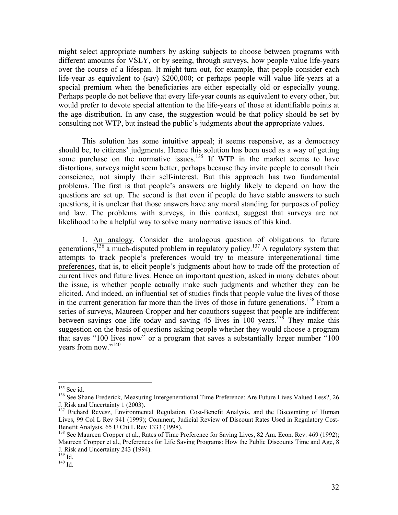might select appropriate numbers by asking subjects to choose between programs with different amounts for VSLY, or by seeing, through surveys, how people value life-years over the course of a lifespan. It might turn out, for example, that people consider each life-year as equivalent to (say) \$200,000; or perhaps people will value life-years at a special premium when the beneficiaries are either especially old or especially young. Perhaps people do not believe that every life-year counts as equivalent to every other, but would prefer to devote special attention to the life-years of those at identifiable points at the age distribution. In any case, the suggestion would be that policy should be set by consulting not WTP, but instead the public's judgments about the appropriate values.

This solution has some intuitive appeal; it seems responsive, as a democracy should be, to citizens' judgments. Hence this solution has been used as a way of getting some purchase on the normative issues.<sup>135</sup> If WTP in the market seems to have distortions, surveys might seem better, perhaps because they invite people to consult their conscience, not simply their self-interest. But this approach has two fundamental problems. The first is that people's answers are highly likely to depend on how the questions are set up. The second is that even if people do have stable answers to such questions, it is unclear that those answers have any moral standing for purposes of policy and law. The problems with surveys, in this context, suggest that surveys are not likelihood to be a helpful way to solve many normative issues of this kind.

1. An analogy. Consider the analogous question of obligations to future generations, $\frac{136}{136}$  a much-disputed problem in regulatory policy.<sup>137</sup> A regulatory system that attempts to track people's preferences would try to measure intergenerational time preferences, that is, to elicit people's judgments about how to trade off the protection of current lives and future lives. Hence an important question, asked in many debates about the issue, is whether people actually make such judgments and whether they can be elicited. And indeed, an influential set of studies finds that people value the lives of those in the current generation far more than the lives of those in future generations.<sup>138</sup> From a series of surveys, Maureen Cropper and her coauthors suggest that people are indifferent between savings one life today and saving 45 lives in  $100$  years.<sup>139</sup> They make this suggestion on the basis of questions asking people whether they would choose a program that saves "100 lives now" or a program that saves a substantially larger number "100 years from now."<sup>140</sup>

<span id="page-32-0"></span> $135$  See id.

<span id="page-32-1"></span><sup>&</sup>lt;sup>136</sup> See Shane Frederick, Measuring Intergenerational Time Preference: Are Future Lives Valued Less?, 26<br>J. Risk and Uncertainty 1 (2003).

<span id="page-32-2"></span> $137$  Richard Revesz, Environmental Regulation, Cost-Benefit Analysis, and the Discounting of Human Lives, 99 Col L Rev 941 (1999); Comment, Judicial Review of Discount Rates Used in Regulatory Cost-

<span id="page-32-3"></span><sup>&</sup>lt;sup>138</sup> See Maureen Cropper et al., Rates of Time Preference for Saving Lives, 82 Am. Econ. Rev. 469 (1992); Maureen Cropper et al., Preferences for Life Saving Programs: How the Public Discounts Time and Age, 8 J. Risk and Uncertainty 243 (1994).<br><sup>139</sup> Id.<br><sup>140</sup> Id.

<span id="page-32-4"></span>

<span id="page-32-5"></span>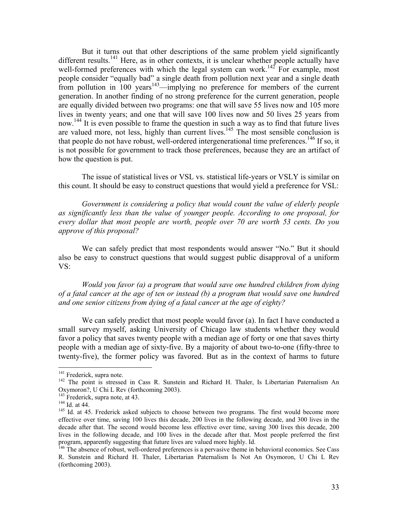But it turns out that other descriptions of the same problem yield significantly different results.<sup>141</sup> Here, as in other contexts, it is unclear whether people actually have well-formed preferences with which the legal system can work.<sup>142</sup> For example, most people consider "equally bad" a single death from pollution next year and a single death from pollution in  $100$  years<sup>143</sup>—implying no preference for members of the current generation. In another finding of no strong preference for the current generation, people are equally divided between two programs: one that will save 55 lives now and 105 more lives in twenty years; and one that will save 100 lives now and 50 lives 25 years from now.<sup>144</sup> It is even possible to frame the question in such a way as to find that future lives are valued more, not less, highly than current lives.<sup>145</sup> The most sensible conclusion is that people do not have robust, well-ordered intergenerational time preferences.<sup>146</sup> If so, it is not possible for government to track those preferences, because they are an artifact of how the question is put.

The issue of statistical lives or VSL vs. statistical life-years or VSLY is similar on this count. It should be easy to construct questions that would yield a preference for VSL:

*Government is considering a policy that would count the value of elderly people as significantly less than the value of younger people. According to one proposal, for every dollar that most people are worth, people over 70 are worth 53 cents. Do you approve of this proposal?* 

We can safely predict that most respondents would answer "No." But it should also be easy to construct questions that would suggest public disapproval of a uniform VS:

*Would you favor (a) a program that would save one hundred children from dying of a fatal cancer at the age of ten or instead (b) a program that would save one hundred and one senior citizens from dying of a fatal cancer at the age of eighty?* 

We can safely predict that most people would favor (a). In fact I have conducted a small survey myself, asking University of Chicago law students whether they would favor a policy that saves twenty people with a median age of forty or one that saves thirty people with a median age of sixty-five. By a majority of about two-to-one (fifty-three to twenty-five), the former policy was favored. But as in the context of harms to future

<span id="page-33-0"></span><sup>&</sup>lt;sup>141</sup> Frederick, supra note.

<span id="page-33-1"></span><sup>&</sup>lt;sup>142</sup> The point is stressed in Cass R. Sunstein and Richard H. Thaler, Is Libertarian Paternalism An Oxymoron?, U Chi L Rev (forthcoming 2003).<br><sup>143</sup> Frederick, supra note, at 43.

<span id="page-33-2"></span>

<span id="page-33-4"></span><span id="page-33-3"></span>

Treuerick, supra note, at 45.<br><sup>144</sup> Id. at 44.<br><sup>145</sup> Id. at 45. Frederick asked subjects to choose between two programs. The first would become more effective over time, saving 100 lives this decade, 200 lives in the following decade, and 300 lives in the decade after that. The second would become less effective over time, saving 300 lives this decade, 200 lives in the following decade, and 100 lives in the decade after that. Most people preferred the first program, apparently suggesting that future lives are valued more highly. Id.<br><sup>146</sup> The absence of robust, well-ordered preferences is a pervasive theme in behavioral economics. See Cass

<span id="page-33-5"></span>R. Sunstein and Richard H. Thaler, Libertarian Paternalism Is Not An Oxymoron, U Chi L Rev (forthcoming 2003).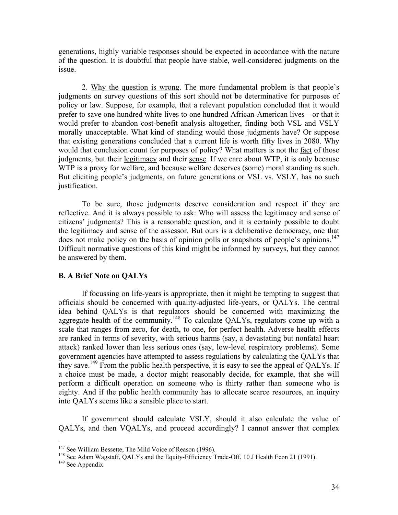generations, highly variable responses should be expected in accordance with the nature of the question. It is doubtful that people have stable, well-considered judgments on the issue.

2. Why the question is wrong. The more fundamental problem is that people's judgments on survey questions of this sort should not be determinative for purposes of policy or law. Suppose, for example, that a relevant population concluded that it would prefer to save one hundred white lives to one hundred African-American lives—or that it would prefer to abandon cost-benefit analysis altogether, finding both VSL and VSLY morally unacceptable. What kind of standing would those judgments have? Or suppose that existing generations concluded that a current life is worth fifty lives in 2080. Why would that conclusion count for purposes of policy? What matters is not the <u>fact</u> of those judgments, but their legitimacy and their sense. If we care about WTP, it is only because WTP is a proxy for welfare, and because welfare deserves (some) moral standing as such. But eliciting people's judgments, on future generations or VSL vs. VSLY, has no such justification.

To be sure, those judgments deserve consideration and respect if they are reflective. And it is always possible to ask: Who will assess the legitimacy and sense of citizens' judgments? This is a reasonable question, and it is certainly possible to doubt the legitimacy and sense of the assessor. But ours is a deliberative democracy, one that does not make policy on the basis of opinion polls or snapshots of people's opinions.<sup>[147](#page-34-0)</sup> Difficult normative questions of this kind might be informed by surveys, but they cannot be answered by them.

#### **B. A Brief Note on QALYs**

If focussing on life-years is appropriate, then it might be tempting to suggest that officials should be concerned with quality-adjusted life-years, or QALYs. The central idea behind QALYs is that regulators should be concerned with maximizing the aggregate health of the community.<sup>148</sup> To calculate QALYs, regulators come up with a scale that ranges from zero, for death, to one, for perfect health. Adverse health effects are ranked in terms of severity, with serious harms (say, a devastating but nonfatal heart attack) ranked lower than less serious ones (say, low-level respiratory problems). Some government agencies have attempted to assess regulations by calculating the QALYs that they save.<sup>149</sup> From the public health perspective, it is easy to see the appeal of QALYs. If a choice must be made, a doctor might reasonably decide, for example, that she will perform a difficult operation on someone who is thirty rather than someone who is eighty. And if the public health community has to allocate scarce resources, an inquiry into QALYs seems like a sensible place to start.

If government should calculate VSLY, should it also calculate the value of QALYs, and then VQALYs, and proceed accordingly? I cannot answer that complex

<span id="page-34-0"></span><sup>&</sup>lt;sup>147</sup> See William Bessette, The Mild Voice of Reason (1996).

<span id="page-34-1"></span><sup>&</sup>lt;sup>148</sup> See Adam Wagstaff, QALYs and the Equity-Efficiency Trade-Off, 10 J Health Econ 21 (1991). <sup>149</sup> See Appendix.

<span id="page-34-2"></span>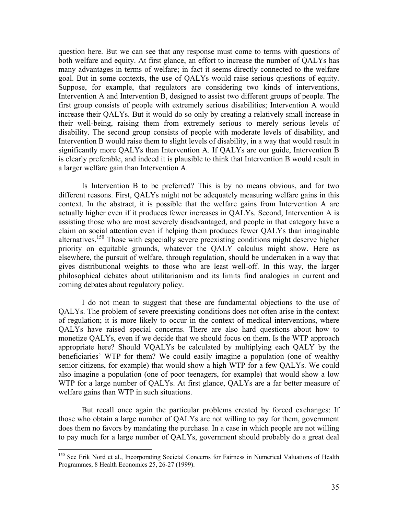question here. But we can see that any response must come to terms with questions of both welfare and equity. At first glance, an effort to increase the number of QALYs has many advantages in terms of welfare; in fact it seems directly connected to the welfare goal. But in some contexts, the use of QALYs would raise serious questions of equity. Suppose, for example, that regulators are considering two kinds of interventions, Intervention A and Intervention B, designed to assist two different groups of people. The first group consists of people with extremely serious disabilities; Intervention A would increase their QALYs. But it would do so only by creating a relatively small increase in their well-being, raising them from extremely serious to merely serious levels of disability. The second group consists of people with moderate levels of disability, and Intervention B would raise them to slight levels of disability, in a way that would result in significantly more QALYs than Intervention A. If QALYs are our guide, Intervention B is clearly preferable, and indeed it is plausible to think that Intervention B would result in a larger welfare gain than Intervention A.

Is Intervention B to be preferred? This is by no means obvious, and for two different reasons. First, QALYs might not be adequately measuring welfare gains in this context. In the abstract, it is possible that the welfare gains from Intervention A are actually higher even if it produces fewer increases in QALYs. Second, Intervention A is assisting those who are most severely disadvantaged, and people in that category have a claim on social attention even if helping them produces fewer QALYs than imaginable alternatives.<sup>150</sup> Those with especially severe preexisting conditions might deserve higher priority on equitable grounds, whatever the QALY calculus might show. Here as elsewhere, the pursuit of welfare, through regulation, should be undertaken in a way that gives distributional weights to those who are least well-off. In this way, the larger philosophical debates about utilitarianism and its limits find analogies in current and coming debates about regulatory policy.

I do not mean to suggest that these are fundamental objections to the use of QALYs. The problem of severe preexisting conditions does not often arise in the context of regulation; it is more likely to occur in the context of medical interventions, where QALYs have raised special concerns. There are also hard questions about how to monetize QALYs, even if we decide that we should focus on them. Is the WTP approach appropriate here? Should VQALYs be calculated by multiplying each QALY by the beneficiaries' WTP for them? We could easily imagine a population (one of wealthy senior citizens, for example) that would show a high WTP for a few QALYs. We could also imagine a population (one of poor teenagers, for example) that would show a low WTP for a large number of QALYs. At first glance, QALYs are a far better measure of welfare gains than WTP in such situations.

But recall once again the particular problems created by forced exchanges: If those who obtain a large number of QALYs are not willing to pay for them, government does them no favors by mandating the purchase. In a case in which people are not willing to pay much for a large number of QALYs, government should probably do a great deal

1

<span id="page-35-0"></span><sup>&</sup>lt;sup>150</sup> See Erik Nord et al., Incorporating Societal Concerns for Fairness in Numerical Valuations of Health Programmes, 8 Health Economics 25, 26-27 (1999).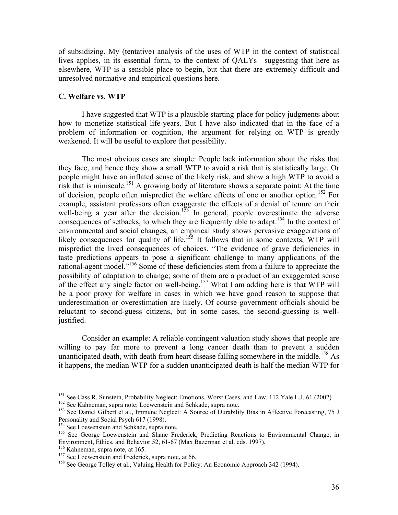of subsidizing. My (tentative) analysis of the uses of WTP in the context of statistical lives applies, in its essential form, to the context of QALYs—suggesting that here as elsewhere, WTP is a sensible place to begin, but that there are extremely difficult and unresolved normative and empirical questions here.

#### **C. Welfare vs. WTP**

I have suggested that WTP is a plausible starting-place for policy judgments about how to monetize statistical life-years. But I have also indicated that in the face of a problem of information or cognition, the argument for relying on WTP is greatly weakened. It will be useful to explore that possibility.

The most obvious cases are simple: People lack information about the risks that they face, and hence they show a small WTP to avoid a risk that is statistically large. Or people might have an inflated sense of the likely risk, and show a high WTP to avoid a risk that is miniscule.<sup>151</sup> A growing body of literature shows a separate point: At the time of decision, people often mispredict the welfare effects of one or another option.<sup>152</sup> For example, assistant professors often exaggerate the effects of a denial of tenure on their well-being a year after the decision.<sup>153</sup> In general, people overestimate the adverse consequences of setbacks, to which they are frequently able to adapt.<sup>154</sup> In the context of environmental and social changes, an empirical study shows pervasive exaggerations of likely consequences for quality of life.[155](#page-36-4) It follows that in some contexts, WTP will mispredict the lived consequences of choices. "The evidence of grave deficiencies in taste predictions appears to pose a significant challenge to many applications of the rational-agent model.["156 S](#page-36-5)ome of these deficiencies stem from a failure to appreciate the possibility of adaptation to change; some of them are a product of an exaggerated sense of the effect any single factor on well-being.<sup>157</sup> What I am adding here is that WTP will be a poor proxy for welfare in cases in which we have good reason to suppose that underestimation or overestimation are likely. Of course government officials should be reluctant to second-guess citizens, but in some cases, the second-guessing is welljustified.

Consider an example: A reliable contingent valuation study shows that people are willing to pay far more to prevent a long cancer death than to prevent a sudden unanticipated death, with death from heart disease falling somewhere in the middle.<sup>158</sup> As it happens, the median WTP for a sudden unanticipated death is half the median WTP for

<span id="page-36-0"></span>

<span id="page-36-2"></span><span id="page-36-1"></span>

<sup>&</sup>lt;sup>151</sup> See Cass R. Sunstein, Probability Neglect: Emotions, Worst Cases, and Law, 112 Yale L.J. 61 (2002)<br><sup>152</sup> See Kahneman, supra note; Loewenstein and Schkade, supra note.<br><sup>153</sup> See Daniel Gilbert et al., Immune Neglect Personality and Social Psych 617 (1998).<br><sup>154</sup> See Loewenstein and Schkade, supra note.

<span id="page-36-4"></span><span id="page-36-3"></span>

<sup>&</sup>lt;sup>155</sup> See George Loewenstein and Shane Frederick, Predicting Reactions to Environmental Change, in Environment, Ethics, and Behavior 52, 61-67 (Max Bazerman et al. eds. 1997).

<span id="page-36-5"></span>

<span id="page-36-7"></span><span id="page-36-6"></span>

<sup>&</sup>lt;sup>156</sup> Kahneman, supra note, at 165.<br><sup>157</sup> See Loewenstein and Frederick, supra note, at 66.<br><sup>158</sup> See George Tolley et al., Valuing Health for Policy: An Economic Approach 342 (1994).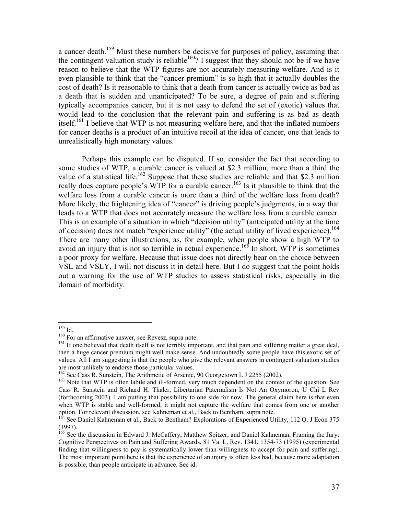a cancer death.<sup>159</sup> Must these numbers be decisive for purposes of policy, assuming that the contingent valuation study is reliable<sup>160</sup>? I suggest that they should not be if we have reason to believe that the WTP figures are not accurately measuring welfare. And is it even plausible to think that the "cancer premium" is so high that it actually doubles the cost of death? Is it reasonable to think that a death from cancer is actually twice as bad as a death that is sudden and unanticipated? To be sure, a degree of pain and suffering typically accompanies cancer, but it is not easy to defend the set of (exotic) values that would lead to the conclusion that the relevant pain and suffering is as bad as death itself.<sup>161</sup> I believe that WTP is not measuring welfare here, and that the inflated numbers for cancer deaths is a product of an intuitive recoil at the idea of cancer, one that leads to unrealistically high monetary values.

Perhaps this example can be disputed. If so, consider the fact that according to some studies of WTP, a curable cancer is valued at \$2.3 million, more than a third the value of a statistical life.<sup>162</sup> Suppose that these studies are reliable and that \$2.3 million really does capture people's WTP for a curable cancer.<sup>163</sup> Is it plausible to think that the welfare loss from a curable cancer is more than a third of the welfare loss from death? More likely, the frightening idea of "cancer" is driving people's judgments, in a way that leads to a WTP that does not accurately measure the welfare loss from a curable cancer. This is an example of a situation in which "decision utility" (anticipated utility at the time of decision) does not match "experience utility" (the actual utility of lived experience).<sup>164</sup> There are many other illustrations, as, for example, when people show a high WTP to avoid an injury that is not so terrible in actual experience.<sup>165</sup> In short, WTP is sometimes a poor proxy for welfare. Because that issue does not directly bear on the choice between VSL and VSLY, I will not discuss it in detail here. But I do suggest that the point holds out a warning for the use of WTP studies to assess statistical risks, especially in the domain of morbidity.

<span id="page-37-0"></span> $159$  Id.

<span id="page-37-2"></span><span id="page-37-1"></span>

<sup>&</sup>lt;sup>160</sup> For an affirmative answer, see Revesz, supra note.<br><sup>161</sup> If one believed that death itself is not terribly important, and that pain and suffering matter a great deal, then a huge cancer premium might well make sense. And undoubtedly some people have this exotic set of values. All I am suggesting is that the people who give the relevant answers in contingent valuation studies are most unlikely to endorse those particular values.<br><sup>162</sup> See Cass R. Sunstein, The Arithmetic of Arsenic, 90 Georgetown L J 2255 (2002).<br><sup>163</sup> Note that WTP is often labile and ill-formed, very much dependent on the con

<span id="page-37-3"></span>

<span id="page-37-4"></span>Cass R. Sunstein and Richard H. Thaler, Libertarian Paternalism Is Not An Oxymoron, U Chi L Rev (forthcoming 2003). I am putting that possibility to one side for now. The general claim here is that even when WTP is stable and well-formed, it might not capture the welfare that comes from one or another option. For relevant discussion, see Kahneman et al., Back to Bentham, supra note.<br><sup>164</sup> See Daniel Kahneman et al., Back to Bentham? Explorations of Experienced Utility, 112 Q. J Econ 375

<span id="page-37-5"></span><sup>(1997).</sup> 

<span id="page-37-6"></span><sup>&</sup>lt;sup>165</sup> See the discussion in Edward J. McCaffery, Matthew Spitzer, and Daniel Kahneman, Framing the Jury: Cognitive Perspectives on Pain and Suffering Awards, 81 Va. L. Rev. 1341, 1354-73 (1995) (experimental finding that willingness to pay is systematically lower than willingness to accept for pain and suffering). The most important point here is that the experience of an injury is often less bad, because more adaptation is possible, than people anticipate in advance. See id.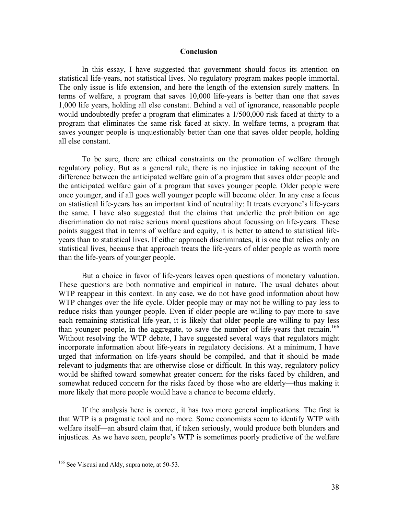#### **Conclusion**

In this essay, I have suggested that government should focus its attention on statistical life-years, not statistical lives. No regulatory program makes people immortal. The only issue is life extension, and here the length of the extension surely matters. In terms of welfare, a program that saves 10,000 life-years is better than one that saves 1,000 life years, holding all else constant. Behind a veil of ignorance, reasonable people would undoubtedly prefer a program that eliminates a 1/500,000 risk faced at thirty to a program that eliminates the same risk faced at sixty. In welfare terms, a program that saves younger people is unquestionably better than one that saves older people, holding all else constant.

To be sure, there are ethical constraints on the promotion of welfare through regulatory policy. But as a general rule, there is no injustice in taking account of the difference between the anticipated welfare gain of a program that saves older people and the anticipated welfare gain of a program that saves younger people. Older people were once younger, and if all goes well younger people will become older. In any case a focus on statistical life-years has an important kind of neutrality: It treats everyone's life-years the same. I have also suggested that the claims that underlie the prohibition on age discrimination do not raise serious moral questions about focussing on life-years. These points suggest that in terms of welfare and equity, it is better to attend to statistical lifeyears than to statistical lives. If either approach discriminates, it is one that relies only on statistical lives, because that approach treats the life-years of older people as worth more than the life-years of younger people.

But a choice in favor of life-years leaves open questions of monetary valuation. These questions are both normative and empirical in nature. The usual debates about WTP reappear in this context. In any case, we do not have good information about how WTP changes over the life cycle. Older people may or may not be willing to pay less to reduce risks than younger people. Even if older people are willing to pay more to save each remaining statistical life-year, it is likely that older people are willing to pay less than younger people, in the aggregate, to save the number of life-years that remain.<sup>166</sup> Without resolving the WTP debate, I have suggested several ways that regulators might incorporate information about life-years in regulatory decisions. At a minimum, I have urged that information on life-years should be compiled, and that it should be made relevant to judgments that are otherwise close or difficult. In this way, regulatory policy would be shifted toward somewhat greater concern for the risks faced by children, and somewhat reduced concern for the risks faced by those who are elderly—thus making it more likely that more people would have a chance to become elderly.

If the analysis here is correct, it has two more general implications. The first is that WTP is a pragmatic tool and no more. Some economists seem to identify WTP with welfare itself—an absurd claim that, if taken seriously, would produce both blunders and injustices. As we have seen, people's WTP is sometimes poorly predictive of the welfare

1

<span id="page-38-0"></span><sup>&</sup>lt;sup>166</sup> See Viscusi and Aldy, supra note, at 50-53.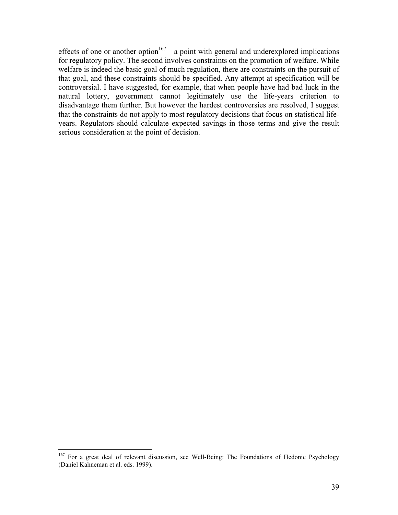effects of one or another option<sup>167</sup>—a point with general and underexplored implications for regulatory policy. The second involves constraints on the promotion of welfare. While welfare is indeed the basic goal of much regulation, there are constraints on the pursuit of that goal, and these constraints should be specified. Any attempt at specification will be controversial. I have suggested, for example, that when people have had bad luck in the natural lottery, government cannot legitimately use the life-years criterion to disadvantage them further. But however the hardest controversies are resolved, I suggest that the constraints do not apply to most regulatory decisions that focus on statistical lifeyears. Regulators should calculate expected savings in those terms and give the result serious consideration at the point of decision.

1

<span id="page-39-0"></span><sup>&</sup>lt;sup>167</sup> For a great deal of relevant discussion, see Well-Being: The Foundations of Hedonic Psychology (Daniel Kahneman et al. eds. 1999).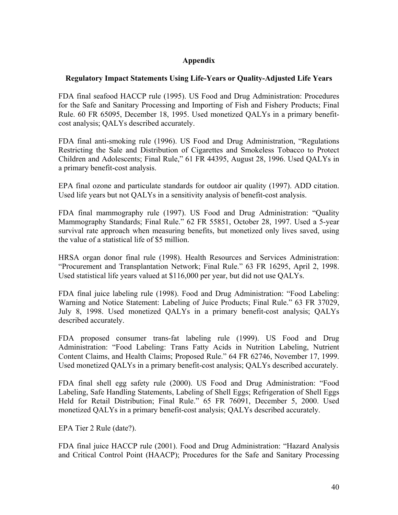## **Appendix**

#### **Regulatory Impact Statements Using Life-Years or Quality-Adjusted Life Years**

FDA final seafood HACCP rule (1995). US Food and Drug Administration: Procedures for the Safe and Sanitary Processing and Importing of Fish and Fishery Products; Final Rule. 60 FR 65095, December 18, 1995. Used monetized QALYs in a primary benefitcost analysis; QALYs described accurately.

FDA final anti-smoking rule (1996). US Food and Drug Administration, "Regulations Restricting the Sale and Distribution of Cigarettes and Smokeless Tobacco to Protect Children and Adolescents; Final Rule," 61 FR 44395, August 28, 1996. Used QALYs in a primary benefit-cost analysis.

EPA final ozone and particulate standards for outdoor air quality (1997). ADD citation. Used life years but not QALYs in a sensitivity analysis of benefit-cost analysis.

FDA final mammography rule (1997). US Food and Drug Administration: "Quality Mammography Standards; Final Rule." 62 FR 55851, October 28, 1997. Used a 5-year survival rate approach when measuring benefits, but monetized only lives saved, using the value of a statistical life of \$5 million.

HRSA organ donor final rule (1998). Health Resources and Services Administration: "Procurement and Transplantation Network; Final Rule." 63 FR 16295, April 2, 1998. Used statistical life years valued at \$116,000 per year, but did not use QALYs.

FDA final juice labeling rule (1998). Food and Drug Administration: "Food Labeling: Warning and Notice Statement: Labeling of Juice Products; Final Rule." 63 FR 37029, July 8, 1998. Used monetized QALYs in a primary benefit-cost analysis; QALYs described accurately.

FDA proposed consumer trans-fat labeling rule (1999). US Food and Drug Administration: "Food Labeling: Trans Fatty Acids in Nutrition Labeling, Nutrient Content Claims, and Health Claims; Proposed Rule." 64 FR 62746, November 17, 1999. Used monetized QALYs in a primary benefit-cost analysis; QALYs described accurately.

FDA final shell egg safety rule (2000). US Food and Drug Administration: "Food Labeling, Safe Handling Statements, Labeling of Shell Eggs; Refrigeration of Shell Eggs Held for Retail Distribution; Final Rule." 65 FR 76091, December 5, 2000. Used monetized QALYs in a primary benefit-cost analysis; QALYs described accurately.

EPA Tier 2 Rule (date?).

FDA final juice HACCP rule (2001). Food and Drug Administration: "Hazard Analysis and Critical Control Point (HAACP); Procedures for the Safe and Sanitary Processing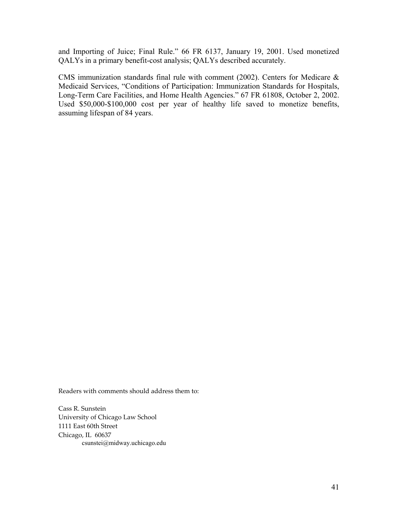and Importing of Juice; Final Rule." 66 FR 6137, January 19, 2001. Used monetized QALYs in a primary benefit-cost analysis; QALYs described accurately.

CMS immunization standards final rule with comment (2002). Centers for Medicare & Medicaid Services, "Conditions of Participation: Immunization Standards for Hospitals, Long-Term Care Facilities, and Home Health Agencies." 67 FR 61808, October 2, 2002. Used \$50,000-\$100,000 cost per year of healthy life saved to monetize benefits, assuming lifespan of 84 years.

Readers with comments should address them to:

Cass R. Sunstein University of Chicago Law School 1111 East 60th Street Chicago, IL 60637 csunstei@midway.uchicago.edu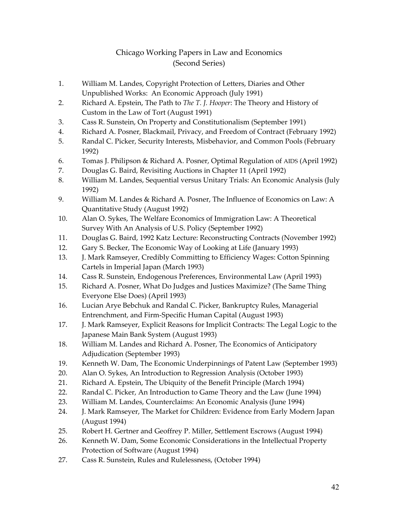# Chicago Working Papers in Law and Economics (Second Series)

- 1. William M. Landes, Copyright Protection of Letters, Diaries and Other Unpublished Works: An Economic Approach (July 1991)
- 2. Richard A. Epstein, The Path to *The T. J. Hooper*: The Theory and History of Custom in the Law of Tort (August 1991)
- 3. Cass R. Sunstein, On Property and Constitutionalism (September 1991)
- 4. Richard A. Posner, Blackmail, Privacy, and Freedom of Contract (February 1992)
- 5. Randal C. Picker, Security Interests, Misbehavior, and Common Pools (February 1992)
- 6. Tomas J. Philipson & Richard A. Posner, Optimal Regulation of AIDS (April 1992)
- 7. Douglas G. Baird, Revisiting Auctions in Chapter 11 (April 1992)
- 8. William M. Landes, Sequential versus Unitary Trials: An Economic Analysis (July 1992)
- 9. William M. Landes & Richard A. Posner, The Influence of Economics on Law: A Quantitative Study (August 1992)
- 10. Alan O. Sykes, The Welfare Economics of Immigration Law: A Theoretical Survey With An Analysis of U.S. Policy (September 1992)
- 11. Douglas G. Baird, 1992 Katz Lecture: Reconstructing Contracts (November 1992)
- 12. Gary S. Becker, The Economic Way of Looking at Life (January 1993)
- 13. J. Mark Ramseyer, Credibly Committing to Efficiency Wages: Cotton Spinning Cartels in Imperial Japan (March 1993)
- 14. Cass R. Sunstein, Endogenous Preferences, Environmental Law (April 1993)
- 15. Richard A. Posner, What Do Judges and Justices Maximize? (The Same Thing Everyone Else Does) (April 1993)
- 16. Lucian Arye Bebchuk and Randal C. Picker, Bankruptcy Rules, Managerial Entrenchment, and Firm-Specific Human Capital (August 1993)
- 17. J. Mark Ramseyer, Explicit Reasons for Implicit Contracts: The Legal Logic to the Japanese Main Bank System (August 1993)
- 18. William M. Landes and Richard A. Posner, The Economics of Anticipatory Adjudication (September 1993)
- 19. Kenneth W. Dam, The Economic Underpinnings of Patent Law (September 1993)
- 20. Alan O. Sykes, An Introduction to Regression Analysis (October 1993)
- 21. Richard A. Epstein, The Ubiquity of the Benefit Principle (March 1994)
- 22. Randal C. Picker, An Introduction to Game Theory and the Law (June 1994)
- 23. William M. Landes, Counterclaims: An Economic Analysis (June 1994)
- 24. J. Mark Ramseyer, The Market for Children: Evidence from Early Modern Japan (August 1994)
- 25. Robert H. Gertner and Geoffrey P. Miller, Settlement Escrows (August 1994)
- 26. Kenneth W. Dam, Some Economic Considerations in the Intellectual Property Protection of Software (August 1994)
- 27. Cass R. Sunstein, Rules and Rulelessness, (October 1994)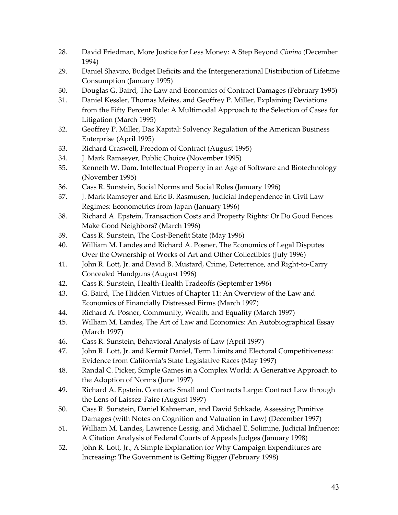- 28. David Friedman, More Justice for Less Money: A Step Beyond *Cimino* (December 1994)
- 29. Daniel Shaviro, Budget Deficits and the Intergenerational Distribution of Lifetime Consumption (January 1995)
- 30. Douglas G. Baird, The Law and Economics of Contract Damages (February 1995)
- 31. Daniel Kessler, Thomas Meites, and Geoffrey P. Miller, Explaining Deviations from the Fifty Percent Rule: A Multimodal Approach to the Selection of Cases for Litigation (March 1995)
- 32. Geoffrey P. Miller, Das Kapital: Solvency Regulation of the American Business Enterprise (April 1995)
- 33. Richard Craswell, Freedom of Contract (August 1995)
- 34. J. Mark Ramseyer, Public Choice (November 1995)
- 35. Kenneth W. Dam, Intellectual Property in an Age of Software and Biotechnology (November 1995)
- 36. Cass R. Sunstein, Social Norms and Social Roles (January 1996)
- 37. J. Mark Ramseyer and Eric B. Rasmusen, Judicial Independence in Civil Law Regimes: Econometrics from Japan (January 1996)
- 38. Richard A. Epstein, Transaction Costs and Property Rights: Or Do Good Fences Make Good Neighbors? (March 1996)
- 39. Cass R. Sunstein, The Cost-Benefit State (May 1996)
- 40. William M. Landes and Richard A. Posner, The Economics of Legal Disputes Over the Ownership of Works of Art and Other Collectibles (July 1996)
- 41. John R. Lott, Jr. and David B. Mustard, Crime, Deterrence, and Right-to-Carry Concealed Handguns (August 1996)
- 42. Cass R. Sunstein, Health-Health Tradeoffs (September 1996)
- 43. G. Baird, The Hidden Virtues of Chapter 11: An Overview of the Law and Economics of Financially Distressed Firms (March 1997)
- 44. Richard A. Posner, Community, Wealth, and Equality (March 1997)
- 45. William M. Landes, The Art of Law and Economics: An Autobiographical Essay (March 1997)
- 46. Cass R. Sunstein, Behavioral Analysis of Law (April 1997)
- 47. John R. Lott, Jr. and Kermit Daniel, Term Limits and Electoral Competitiveness: Evidence from California's State Legislative Races (May 1997)
- 48. Randal C. Picker, Simple Games in a Complex World: A Generative Approach to the Adoption of Norms (June 1997)
- 49. Richard A. Epstein, Contracts Small and Contracts Large: Contract Law through the Lens of Laissez-Faire (August 1997)
- 50. Cass R. Sunstein, Daniel Kahneman, and David Schkade, Assessing Punitive Damages (with Notes on Cognition and Valuation in Law) (December 1997)
- 51. William M. Landes, Lawrence Lessig, and Michael E. Solimine, Judicial Influence: A Citation Analysis of Federal Courts of Appeals Judges (January 1998)
- 52. John R. Lott, Jr., A Simple Explanation for Why Campaign Expenditures are Increasing: The Government is Getting Bigger (February 1998)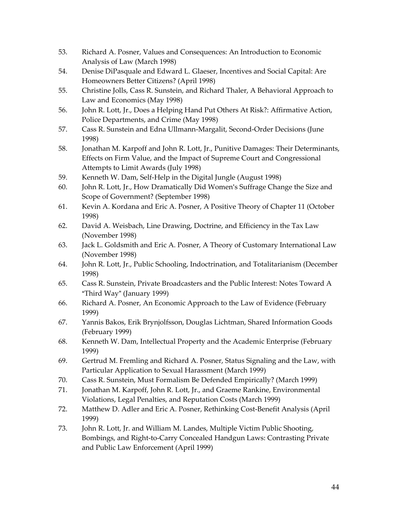- 53. Richard A. Posner, Values and Consequences: An Introduction to Economic Analysis of Law (March 1998)
- 54. Denise DiPasquale and Edward L. Glaeser, Incentives and Social Capital: Are Homeowners Better Citizens? (April 1998)
- 55. Christine Jolls, Cass R. Sunstein, and Richard Thaler, A Behavioral Approach to Law and Economics (May 1998)
- 56. John R. Lott, Jr., Does a Helping Hand Put Others At Risk?: Affirmative Action, Police Departments, and Crime (May 1998)
- 57. Cass R. Sunstein and Edna Ullmann-Margalit, Second-Order Decisions (June 1998)
- 58. Jonathan M. Karpoff and John R. Lott, Jr., Punitive Damages: Their Determinants, Effects on Firm Value, and the Impact of Supreme Court and Congressional Attempts to Limit Awards (July 1998)
- 59. Kenneth W. Dam, Self-Help in the Digital Jungle (August 1998)
- 60. John R. Lott, Jr., How Dramatically Did Women's Suffrage Change the Size and Scope of Government? (September 1998)
- 61. Kevin A. Kordana and Eric A. Posner, A Positive Theory of Chapter 11 (October 1998)
- 62. David A. Weisbach, Line Drawing, Doctrine, and Efficiency in the Tax Law (November 1998)
- 63. Jack L. Goldsmith and Eric A. Posner, A Theory of Customary International Law (November 1998)
- 64. John R. Lott, Jr., Public Schooling, Indoctrination, and Totalitarianism (December 1998)
- 65. Cass R. Sunstein, Private Broadcasters and the Public Interest: Notes Toward A "Third Way" (January 1999)
- 66. Richard A. Posner, An Economic Approach to the Law of Evidence (February 1999)
- 67. Yannis Bakos, Erik Brynjolfsson, Douglas Lichtman, Shared Information Goods (February 1999)
- 68. Kenneth W. Dam, Intellectual Property and the Academic Enterprise (February 1999)
- 69. Gertrud M. Fremling and Richard A. Posner, Status Signaling and the Law, with Particular Application to Sexual Harassment (March 1999)
- 70. Cass R. Sunstein, Must Formalism Be Defended Empirically? (March 1999)
- 71. Jonathan M. Karpoff, John R. Lott, Jr., and Graeme Rankine, Environmental Violations, Legal Penalties, and Reputation Costs (March 1999)
- 72. Matthew D. Adler and Eric A. Posner, Rethinking Cost-Benefit Analysis (April 1999)
- 73. John R. Lott, Jr. and William M. Landes, Multiple Victim Public Shooting, Bombings, and Right-to-Carry Concealed Handgun Laws: Contrasting Private and Public Law Enforcement (April 1999)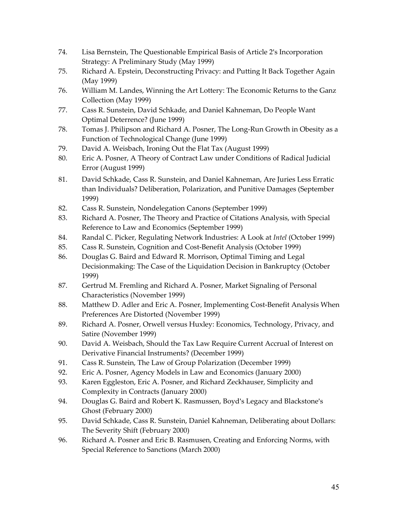- 74. Lisa Bernstein, The Questionable Empirical Basis of Article 2's Incorporation Strategy: A Preliminary Study (May 1999)
- 75. Richard A. Epstein, Deconstructing Privacy: and Putting It Back Together Again (May 1999)
- 76. William M. Landes, Winning the Art Lottery: The Economic Returns to the Ganz Collection (May 1999)
- 77. Cass R. Sunstein, David Schkade, and Daniel Kahneman, Do People Want Optimal Deterrence? (June 1999)
- 78. Tomas J. Philipson and Richard A. Posner, The Long-Run Growth in Obesity as a Function of Technological Change (June 1999)
- 79. David A. Weisbach, Ironing Out the Flat Tax (August 1999)
- 80. Eric A. Posner, A Theory of Contract Law under Conditions of Radical Judicial Error (August 1999)
- 81. David Schkade, Cass R. Sunstein, and Daniel Kahneman, Are Juries Less Erratic than Individuals? Deliberation, Polarization, and Punitive Damages (September 1999)
- 82. Cass R. Sunstein, Nondelegation Canons (September 1999)
- 83. Richard A. Posner, The Theory and Practice of Citations Analysis, with Special Reference to Law and Economics (September 1999)
- 84. Randal C. Picker, Regulating Network Industries: A Look at *Intel* (October 1999)
- 85. Cass R. Sunstein, Cognition and Cost-Benefit Analysis (October 1999)
- 86. Douglas G. Baird and Edward R. Morrison, Optimal Timing and Legal Decisionmaking: The Case of the Liquidation Decision in Bankruptcy (October 1999)
- 87. Gertrud M. Fremling and Richard A. Posner, Market Signaling of Personal Characteristics (November 1999)
- 88. Matthew D. Adler and Eric A. Posner, Implementing Cost-Benefit Analysis When Preferences Are Distorted (November 1999)
- 89. Richard A. Posner, Orwell versus Huxley: Economics, Technology, Privacy, and Satire (November 1999)
- 90. David A. Weisbach, Should the Tax Law Require Current Accrual of Interest on Derivative Financial Instruments? (December 1999)
- 91. Cass R. Sunstein, The Law of Group Polarization (December 1999)
- 92. Eric A. Posner, Agency Models in Law and Economics (January 2000)
- 93. Karen Eggleston, Eric A. Posner, and Richard Zeckhauser, Simplicity and Complexity in Contracts (January 2000)
- 94. Douglas G. Baird and Robert K. Rasmussen, Boyd's Legacy and Blackstone's Ghost (February 2000)
- 95. David Schkade, Cass R. Sunstein, Daniel Kahneman, Deliberating about Dollars: The Severity Shift (February 2000)
- 96. Richard A. Posner and Eric B. Rasmusen, Creating and Enforcing Norms, with Special Reference to Sanctions (March 2000)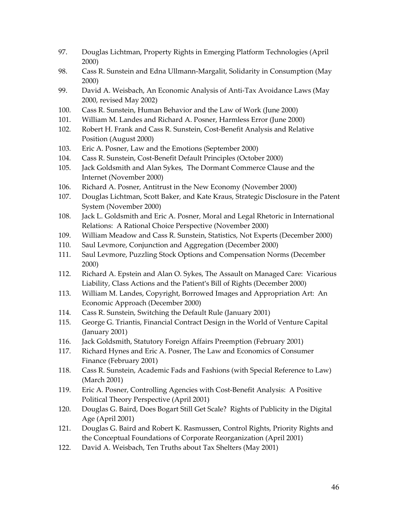- 97. Douglas Lichtman, Property Rights in Emerging Platform Technologies (April 2000)
- 98. Cass R. Sunstein and Edna Ullmann-Margalit, Solidarity in Consumption (May 2000)
- 99. David A. Weisbach, An Economic Analysis of Anti-Tax Avoidance Laws (May 2000, revised May 2002)
- 100. Cass R. Sunstein, Human Behavior and the Law of Work (June 2000)
- 101. William M. Landes and Richard A. Posner, Harmless Error (June 2000)
- 102. Robert H. Frank and Cass R. Sunstein, Cost-Benefit Analysis and Relative Position (August 2000)
- 103. Eric A. Posner, Law and the Emotions (September 2000)
- 104. Cass R. Sunstein, Cost-Benefit Default Principles (October 2000)
- 105. Jack Goldsmith and Alan Sykes, The Dormant Commerce Clause and the Internet (November 2000)
- 106. Richard A. Posner, Antitrust in the New Economy (November 2000)
- 107. Douglas Lichtman, Scott Baker, and Kate Kraus, Strategic Disclosure in the Patent System (November 2000)
- 108. Jack L. Goldsmith and Eric A. Posner, Moral and Legal Rhetoric in International Relations: A Rational Choice Perspective (November 2000)
- 109. William Meadow and Cass R. Sunstein, Statistics, Not Experts (December 2000)
- 110. Saul Levmore, Conjunction and Aggregation (December 2000)
- 111. Saul Levmore, Puzzling Stock Options and Compensation Norms (December 2000)
- 112. Richard A. Epstein and Alan O. Sykes, The Assault on Managed Care: Vicarious Liability, Class Actions and the Patient's Bill of Rights (December 2000)
- 113. William M. Landes, Copyright, Borrowed Images and Appropriation Art: An Economic Approach (December 2000)
- 114. Cass R. Sunstein, Switching the Default Rule (January 2001)
- 115. George G. Triantis, Financial Contract Design in the World of Venture Capital (January 2001)
- 116. Jack Goldsmith, Statutory Foreign Affairs Preemption (February 2001)
- 117. Richard Hynes and Eric A. Posner, The Law and Economics of Consumer Finance (February 2001)
- 118. Cass R. Sunstein, Academic Fads and Fashions (with Special Reference to Law) (March 2001)
- 119. Eric A. Posner, Controlling Agencies with Cost-Benefit Analysis: A Positive Political Theory Perspective (April 2001)
- 120. Douglas G. Baird, Does Bogart Still Get Scale? Rights of Publicity in the Digital Age (April 2001)
- 121. Douglas G. Baird and Robert K. Rasmussen, Control Rights, Priority Rights and the Conceptual Foundations of Corporate Reorganization (April 2001)
- 122. David A. Weisbach, Ten Truths about Tax Shelters (May 2001)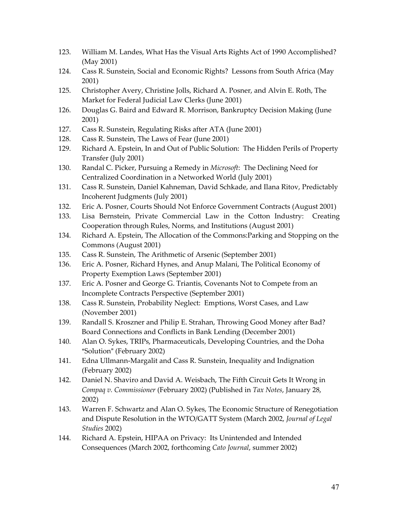- 123. William M. Landes, What Has the Visual Arts Rights Act of 1990 Accomplished? (May 2001)
- 124. Cass R. Sunstein, Social and Economic Rights? Lessons from South Africa (May 2001)
- 125. Christopher Avery, Christine Jolls, Richard A. Posner, and Alvin E. Roth, The Market for Federal Judicial Law Clerks (June 2001)
- 126. Douglas G. Baird and Edward R. Morrison, Bankruptcy Decision Making (June 2001)
- 127. Cass R. Sunstein, Regulating Risks after ATA (June 2001)
- 128. Cass R. Sunstein, The Laws of Fear (June 2001)
- 129. Richard A. Epstein, In and Out of Public Solution: The Hidden Perils of Property Transfer (July 2001)
- 130. Randal C. Picker, Pursuing a Remedy in *Microsoft*: The Declining Need for Centralized Coordination in a Networked World (July 2001)
- 131. Cass R. Sunstein, Daniel Kahneman, David Schkade, and Ilana Ritov, Predictably Incoherent Judgments (July 2001)
- 132. Eric A. Posner, Courts Should Not Enforce Government Contracts (August 2001)
- 133. Lisa Bernstein, Private Commercial Law in the Cotton Industry: Creating Cooperation through Rules, Norms, and Institutions (August 2001)
- 134. Richard A. Epstein, The Allocation of the Commons:Parking and Stopping on the Commons (August 2001)
- 135. Cass R. Sunstein, The Arithmetic of Arsenic (September 2001)
- 136. Eric A. Posner, Richard Hynes, and Anup Malani, The Political Economy of Property Exemption Laws (September 2001)
- 137. Eric A. Posner and George G. Triantis, Covenants Not to Compete from an Incomplete Contracts Perspective (September 2001)
- 138. Cass R. Sunstein, Probability Neglect: Emptions, Worst Cases, and Law (November 2001)
- 139. Randall S. Kroszner and Philip E. Strahan, Throwing Good Money after Bad? Board Connections and Conflicts in Bank Lending (December 2001)
- 140. Alan O. Sykes, TRIPs, Pharmaceuticals, Developing Countries, and the Doha "Solution" (February 2002)
- 141. Edna Ullmann-Margalit and Cass R. Sunstein, Inequality and Indignation (February 2002)
- 142. Daniel N. Shaviro and David A. Weisbach, The Fifth Circuit Gets It Wrong in *Compaq v. Commissioner* (February 2002) (Published in *Tax Notes*, January 28, 2002)
- 143. Warren F. Schwartz and Alan O. Sykes, The Economic Structure of Renegotiation and Dispute Resolution in the WTO/GATT System (March 2002, *Journal of Legal Studies* 2002)
- 144. Richard A. Epstein, HIPAA on Privacy: Its Unintended and Intended Consequences (March 2002, forthcoming *Cato Journal*, summer 2002)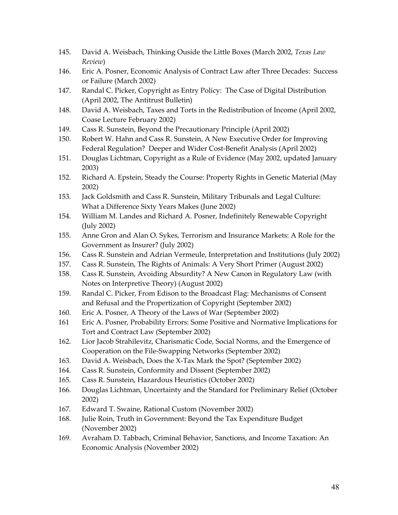- 145. David A. Weisbach, Thinking Ouside the Little Boxes (March 2002, *Texas Law Review*)
- 146. Eric A. Posner, Economic Analysis of Contract Law after Three Decades: Success or Failure (March 2002)
- 147. Randal C. Picker, Copyright as Entry Policy: The Case of Digital Distribution (April 2002, The Antitrust Bulletin)
- 148. David A. Weisbach, Taxes and Torts in the Redistribution of Income (April 2002, Coase Lecture February 2002)
- 149. Cass R. Sunstein, Beyond the Precautionary Principle (April 2002)
- 150. Robert W. Hahn and Cass R. Sunstein, A New Executive Order for Improving Federal Regulation? Deeper and Wider Cost-Benefit Analysis (April 2002)
- 151. Douglas Lichtman, Copyright as a Rule of Evidence (May 2002, updated January 2003)
- 152. Richard A. Epstein, Steady the Course: Property Rights in Genetic Material (May 2002)
- 153. Jack Goldsmith and Cass R. Sunstein, Military Tribunals and Legal Culture: What a Difference Sixty Years Makes (June 2002)
- 154. William M. Landes and Richard A. Posner, Indefinitely Renewable Copyright (July 2002)
- 155. Anne Gron and Alan O. Sykes, Terrorism and Insurance Markets: A Role for the Government as Insurer? (July 2002)
- 156. Cass R. Sunstein and Adrian Vermeule, Interpretation and Institutions (July 2002)
- 157. Cass R. Sunstein, The Rights of Animals: A Very Short Primer (August 2002)
- 158. Cass R. Sunstein, Avoiding Absurdity? A New Canon in Regulatory Law (with Notes on Interpretive Theory) (August 2002)
- 159. Randal C. Picker, From Edison to the Broadcast Flag: Mechanisms of Consent and Refusal and the Propertization of Copyright (September 2002)
- 160. Eric A. Posner, A Theory of the Laws of War (September 2002)
- 161 Eric A. Posner, Probability Errors: Some Positive and Normative Implications for Tort and Contract Law (September 2002)
- 162. Lior Jacob Strahilevitz, Charismatic Code, Social Norms, and the Emergence of Cooperation on the File-Swapping Networks (September 2002)
- 163. David A. Weisbach, Does the X-Tax Mark the Spot? (September 2002)
- 164. Cass R. Sunstein, Conformity and Dissent (September 2002)
- 165. Cass R. Sunstein, Hazardous Heuristics (October 2002)
- 166. Douglas Lichtman, Uncertainty and the Standard for Preliminary Relief (October 2002)
- 167. Edward T. Swaine, Rational Custom (November 2002)
- 168. Julie Roin, Truth in Government: Beyond the Tax Expenditure Budget (November 2002)
- 169. Avraham D. Tabbach, Criminal Behavior, Sanctions, and Income Taxation: An Economic Analysis (November 2002)